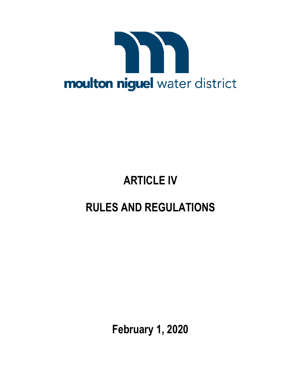

# **ARTICLE IV**

# **RULES AND REGULATIONS**

**February 1, 2020**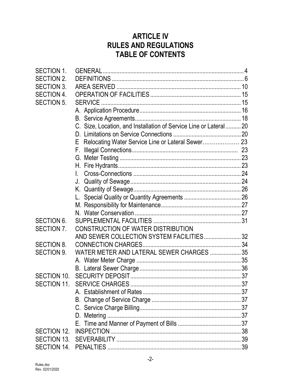# **ARTICLE IV RULES AND REGULATIONS TABLE OF CONTENTS**

| <b>SECTION 1.</b> |                                                                   |  |
|-------------------|-------------------------------------------------------------------|--|
| <b>SECTION 2.</b> |                                                                   |  |
| <b>SECTION 3.</b> |                                                                   |  |
| <b>SECTION 4.</b> |                                                                   |  |
| <b>SECTION 5.</b> | <b>SERVICE</b>                                                    |  |
|                   |                                                                   |  |
|                   |                                                                   |  |
|                   | C. Size, Location, and Installation of Service Line or Lateral 20 |  |
|                   |                                                                   |  |
|                   | E Relocating Water Service Line or Lateral Sewer 23               |  |
|                   |                                                                   |  |
|                   |                                                                   |  |
|                   |                                                                   |  |
|                   | L.                                                                |  |
|                   | J.                                                                |  |
|                   |                                                                   |  |
|                   |                                                                   |  |
|                   |                                                                   |  |
|                   |                                                                   |  |
| <b>SECTION 6.</b> |                                                                   |  |
| SECTION 7.        | CONSTRUCTION OF WATER DISTRIBUTION                                |  |
|                   | AND SEWER COLLECTION SYSTEM FACILITIES 32                         |  |
| <b>SECTION 8.</b> |                                                                   |  |
| <b>SECTION 9.</b> | WATER METER AND LATERAL SEWER CHARGES  35                         |  |
|                   |                                                                   |  |
|                   |                                                                   |  |
| SECTION 10.       |                                                                   |  |
| SECTION 11.       |                                                                   |  |
|                   |                                                                   |  |
|                   |                                                                   |  |
|                   |                                                                   |  |
|                   |                                                                   |  |
|                   |                                                                   |  |
| SECTION 12.       |                                                                   |  |
|                   |                                                                   |  |
|                   |                                                                   |  |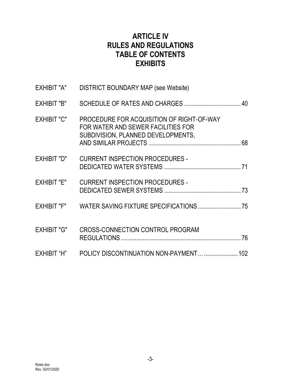# **ARTICLE IV RULES AND REGULATIONS TABLE OF CONTENTS EXHIBITS**

| EXHIBIT "A"        | <b>DISTRICT BOUNDARY MAP (see Website)</b>                                                                            |  |
|--------------------|-----------------------------------------------------------------------------------------------------------------------|--|
| EXHIBIT "B"        |                                                                                                                       |  |
| <b>EXHIBIT "C"</b> | PROCEDURE FOR ACQUISITION OF RIGHT-OF-WAY<br>FOR WATER AND SEWER FACILITIES FOR<br>SUBDIVISION, PLANNED DEVELOPMENTS, |  |
| EXHIBIT "D"        | <b>CURRENT INSPECTION PROCEDURES -</b>                                                                                |  |
| EXHIBIT "E"        | <b>CURRENT INSPECTION PROCEDURES -</b>                                                                                |  |
|                    | EXHIBIT "F" WATER SAVING FIXTURE SPECIFICATIONS                                                                       |  |
| <b>EXHIBIT "G"</b> | <b>CROSS-CONNECTION CONTROL PROGRAM</b>                                                                               |  |
| EXHIBIT "H"        | POLICY DISCONTINUATION NON-PAYMENT  102                                                                               |  |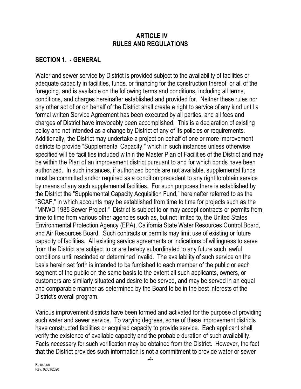#### **ARTICLE IV RULES AND REGULATIONS**

#### **SECTION 1. - GENERAL**

Water and sewer service by District is provided subject to the availability of facilities or adequate capacity in facilities, funds, or financing for the construction thereof, or all of the foregoing, and is available on the following terms and conditions, including all terms, conditions, and charges hereinafter established and provided for. Neither these rules nor any other act of or on behalf of the District shall create a right to service of any kind until a formal written Service Agreement has been executed by all parties, and all fees and charges of District have irrevocably been accomplished. This is a declaration of existing policy and not intended as a change by District of any of its policies or requirements. Additionally, the District may undertake a project on behalf of one or more improvement districts to provide "Supplemental Capacity," which in such instances unless otherwise specified will be facilities included within the Master Plan of Facilities of the District and may be within the Plan of an improvement district pursuant to and for which bonds have been authorized. In such instances, if authorized bonds are not available, supplemental funds must be committed and/or required as a condition precedent to any right to obtain service by means of any such supplemental facilities. For such purposes there is established by the District the "Supplemental Capacity Acquisition Fund," hereinafter referred to as the "SCAF," in which accounts may be established from time to time for projects such as the "MNWD 1985 Sewer Project." District is subject to or may accept contracts or permits from time to time from various other agencies such as, but not limited to, the United States Environmental Protection Agency (EPA), California State Water Resources Control Board, and Air Resources Board. Such contracts or permits may limit use of existing or future capacity of facilities. All existing service agreements or indications of willingness to serve from the District are subject to or are hereby subordinated to any future such lawful conditions until rescinded or determined invalid. The availability of such service on the basis herein set forth is intended to be furnished to each member of the public or each segment of the public on the same basis to the extent all such applicants, owners, or customers are similarly situated and desire to be served, and may be served in an equal and comparable manner as determined by the Board to be in the best interests of the District's overall program.

Various improvement districts have been formed and activated for the purpose of providing such water and sewer service. To varying degrees, some of these improvement districts have constructed facilities or acquired capacity to provide service. Each applicant shall verify the existence of available capacity and the probable duration of such availability. Facts necessary for such verification may be obtained from the District. However, the fact that the District provides such information is not a commitment to provide water or sewer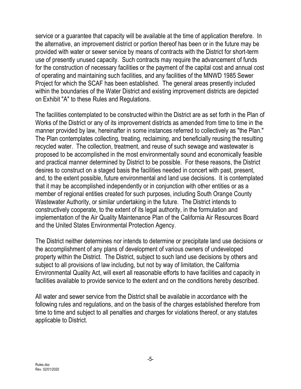service or a guarantee that capacity will be available at the time of application therefore. In the alternative, an improvement district or portion thereof has been or in the future may be provided with water or sewer service by means of contracts with the District for short-term use of presently unused capacity. Such contracts may require the advancement of funds for the construction of necessary facilities or the payment of the capital cost and annual cost of operating and maintaining such facilities, and any facilities of the MNWD 1985 Sewer Project for which the SCAF has been established. The general areas presently included within the boundaries of the Water District and existing improvement districts are depicted on Exhibit "A" to these Rules and Regulations.

The facilities contemplated to be constructed within the District are as set forth in the Plan of Works of the District or any of its improvement districts as amended from time to time in the manner provided by law, hereinafter in some instances referred to collectively as "the Plan." The Plan contemplates collecting, treating, reclaiming, and beneficially reusing the resulting recycled water. The collection, treatment, and reuse of such sewage and wastewater is proposed to be accomplished in the most environmentally sound and economically feasible and practical manner determined by District to be possible. For these reasons, the District desires to construct on a staged basis the facilities needed in concert with past, present, and, to the extent possible, future environmental and land use decisions. It is contemplated that it may be accomplished independently or in conjunction with other entities or as a member of regional entities created for such purposes, including South Orange County Wastewater Authority, or similar undertaking in the future. The District intends to constructively cooperate, to the extent of its legal authority, in the formulation and implementation of the Air Quality Maintenance Plan of the California Air Resources Board and the United States Environmental Protection Agency.

The District neither determines nor intends to determine or precipitate land use decisions or the accomplishment of any plans of development of various owners of undeveloped property within the District. The District, subject to such land use decisions by others and subject to all provisions of law including, but not by way of limitation, the California Environmental Quality Act, will exert all reasonable efforts to have facilities and capacity in facilities available to provide service to the extent and on the conditions hereby described.

All water and sewer service from the District shall be available in accordance with the following rules and regulations, and on the basis of the charges established therefore from time to time and subject to all penalties and charges for violations thereof, or any statutes applicable to District.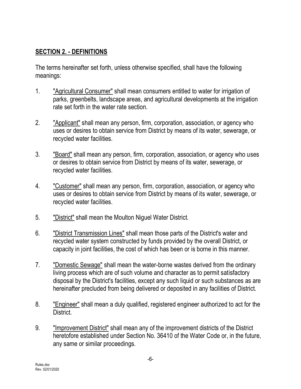## **SECTION 2. - DEFINITIONS**

The terms hereinafter set forth, unless otherwise specified, shall have the following meanings:

- 1. "Agricultural Consumer" shall mean consumers entitled to water for irrigation of parks, greenbelts, landscape areas, and agricultural developments at the irrigation rate set forth in the water rate section.
- 2. "*Applicant*" shall mean any person, firm, corporation, association, or agency who uses or desires to obtain service from District by means of its water, sewerage, or recycled water facilities.
- 3. "Board" shall mean any person, firm, corporation, association, or agency who uses or desires to obtain service from District by means of its water, sewerage, or recycled water facilities.
- 4. "Customer" shall mean any person, firm, corporation, association, or agency who uses or desires to obtain service from District by means of its water, sewerage, or recycled water facilities.
- 5. "District" shall mean the Moulton Niguel Water District.
- 6. "District Transmission Lines" shall mean those parts of the District's water and recycled water system constructed by funds provided by the overall District, or capacity in joint facilities, the cost of which has been or is borne in this manner.
- 7. "Domestic Sewage" shall mean the water-borne wastes derived from the ordinary living process which are of such volume and character as to permit satisfactory disposal by the District's facilities, except any such liquid or such substances as are hereinafter precluded from being delivered or deposited in any facilities of District.
- 8. **The "Engineer"** shall mean a duly qualified, registered engineer authorized to act for the District.
- 9. "Improvement District" shall mean any of the improvement districts of the District heretofore established under Section No. 36410 of the Water Code or, in the future, any same or similar proceedings.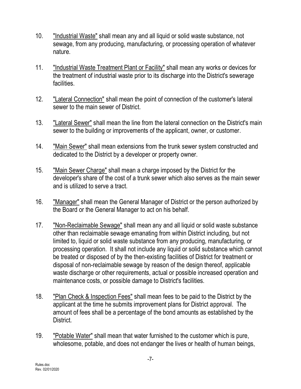- 10. "Industrial Waste" shall mean any and all liquid or solid waste substance, not sewage, from any producing, manufacturing, or processing operation of whatever nature.
- 11. "Industrial Waste Treatment Plant or Facility" shall mean any works or devices for the treatment of industrial waste prior to its discharge into the District's sewerage facilities.
- 12. "Lateral Connection" shall mean the point of connection of the customer's lateral sewer to the main sewer of District.
- 13. "Lateral Sewer" shall mean the line from the lateral connection on the District's main sewer to the building or improvements of the applicant, owner, or customer.
- 14. "Main Sewer" shall mean extensions from the trunk sewer system constructed and dedicated to the District by a developer or property owner.
- 15. "Main Sewer Charge" shall mean a charge imposed by the District for the developer's share of the cost of a trunk sewer which also serves as the main sewer and is utilized to serve a tract.
- 16. "Manager" shall mean the General Manager of District or the person authorized by the Board or the General Manager to act on his behalf.
- 17. "Non-Reclaimable Sewage" shall mean any and all liquid or solid waste substance other than reclaimable sewage emanating from within District including, but not limited to, liquid or solid waste substance from any producing, manufacturing, or processing operation. It shall not include any liquid or solid substance which cannot be treated or disposed of by the then-existing facilities of District for treatment or disposal of non-reclaimable sewage by reason of the design thereof, applicable waste discharge or other requirements, actual or possible increased operation and maintenance costs, or possible damage to District's facilities.
- 18. "Plan Check & Inspection Fees" shall mean fees to be paid to the District by the applicant at the time he submits improvement plans for District approval. The amount of fees shall be a percentage of the bond amounts as established by the District.
- 19. "Potable Water" shall mean that water furnished to the customer which is pure, wholesome, potable, and does not endanger the lives or health of human beings,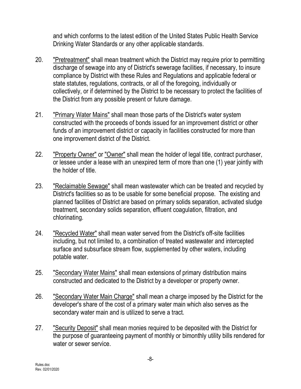and which conforms to the latest edition of the United States Public Health Service Drinking Water Standards or any other applicable standards.

- 20. "Pretreatment" shall mean treatment which the District may require prior to permitting discharge of sewage into any of District's sewerage facilities, if necessary, to insure compliance by District with these Rules and Regulations and applicable federal or state statutes, regulations, contracts, or all of the foregoing, individually or collectively, or if determined by the District to be necessary to protect the facilities of the District from any possible present or future damage.
- 21. "Primary Water Mains" shall mean those parts of the District's water system constructed with the proceeds of bonds issued for an improvement district or other funds of an improvement district or capacity in facilities constructed for more than one improvement district of the District.
- 22. "Property Owner" or "Owner" shall mean the holder of legal title, contract purchaser, or lessee under a lease with an unexpired term of more than one (1) year jointly with the holder of title.
- 23. "Reclaimable Sewage" shall mean wastewater which can be treated and recycled by District's facilities so as to be usable for some beneficial propose. The existing and planned facilities of District are based on primary solids separation, activated sludge treatment, secondary solids separation, effluent coagulation, filtration, and chlorinating.
- 24. "Recycled Water" shall mean water served from the District's off-site facilities including, but not limited to, a combination of treated wastewater and intercepted surface and subsurface stream flow, supplemented by other waters, including potable water.
- 25. "Secondary Water Mains" shall mean extensions of primary distribution mains constructed and dedicated to the District by a developer or property owner.
- 26. "Secondary Water Main Charge" shall mean a charge imposed by the District for the developer's share of the cost of a primary water main which also serves as the secondary water main and is utilized to serve a tract.
- 27. "Security Deposit" shall mean monies required to be deposited with the District for the purpose of guaranteeing payment of monthly or bimonthly utility bills rendered for water or sewer service.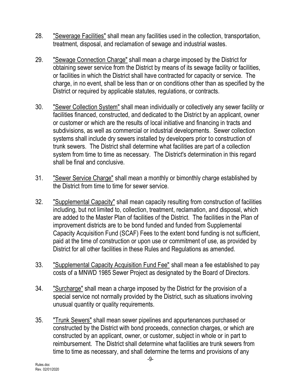- 28. "Sewerage Facilities" shall mean any facilities used in the collection, transportation, treatment, disposal, and reclamation of sewage and industrial wastes.
- 29. "Sewage Connection Charge" shall mean a charge imposed by the District for obtaining sewer service from the District by means of its sewage facility or facilities, or facilities in which the District shall have contracted for capacity or service. The charge, in no event, shall be less than or on conditions other than as specified by the District or required by applicable statutes, regulations, or contracts.
- 30. "Sewer Collection System" shall mean individually or collectively any sewer facility or facilities financed, constructed, and dedicated to the District by an applicant, owner or customer or which are the results of local initiative and financing in tracts and subdivisions, as well as commercial or industrial developments. Sewer collection systems shall include dry sewers installed by developers prior to construction of trunk sewers. The District shall determine what facilities are part of a collection system from time to time as necessary. The District's determination in this regard shall be final and conclusive.
- 31. "Sewer Service Charge" shall mean a monthly or bimonthly charge established by the District from time to time for sewer service.
- 32. "Supplemental Capacity" shall mean capacity resulting from construction of facilities including, but not limited to, collection, treatment, reclamation, and disposal, which are added to the Master Plan of facilities of the District. The facilities in the Plan of improvement districts are to be bond funded and funded from Supplemental Capacity Acquisition Fund (SCAF) Fees to the extent bond funding is not sufficient, paid at the time of construction or upon use or commitment of use, as provided by District for all other facilities in these Rules and Regulations as amended.
- 33. "Supplemental Capacity Acquisition Fund Fee" shall mean a fee established to pay costs of a MNWD 1985 Sewer Project as designated by the Board of Directors.
- 34. "Surcharge" shall mean a charge imposed by the District for the provision of a special service not normally provided by the District, such as situations involving unusual quantity or quality requirements.
- 35. "Trunk Sewers" shall mean sewer pipelines and appurtenances purchased or constructed by the District with bond proceeds, connection charges, or which are constructed by an applicant, owner, or customer, subject in whole or in part to reimbursement. The District shall determine what facilities are trunk sewers from time to time as necessary, and shall determine the terms and provisions of any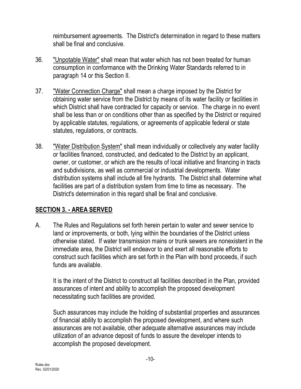reimbursement agreements. The District's determination in regard to these matters shall be final and conclusive.

- 36. "Unpotable Water" shall mean that water which has not been treated for human consumption in conformance with the Drinking Water Standards referred to in paragraph 14 or this Section II.
- 37. "Water Connection Charge" shall mean a charge imposed by the District for obtaining water service from the District by means of its water facility or facilities in which District shall have contracted for capacity or service. The charge in no event shall be less than or on conditions other than as specified by the District or required by applicable statutes, regulations, or agreements of applicable federal or state statutes, regulations, or contracts.
- 38. "Water Distribution System" shall mean individually or collectively any water facility or facilities financed, constructed, and dedicated to the District by an applicant, owner, or customer, or which are the results of local initiative and financing in tracts and subdivisions, as well as commercial or industrial developments. Water distribution systems shall include all fire hydrants. The District shall determine what facilities are part of a distribution system from time to time as necessary. The District's determination in this regard shall be final and conclusive.

## **SECTION 3. - AREA SERVED**

A. The Rules and Regulations set forth herein pertain to water and sewer service to land or improvements, or both, lying within the boundaries of the District unless otherwise stated. If water transmission mains or trunk sewers are nonexistent in the immediate area, the District will endeavor to and exert all reasonable efforts to construct such facilities which are set forth in the Plan with bond proceeds, if such funds are available.

It is the intent of the District to construct all facilities described in the Plan, provided assurances of intent and ability to accomplish the proposed development necessitating such facilities are provided.

Such assurances may include the holding of substantial properties and assurances of financial ability to accomplish the proposed development, and where such assurances are not available, other adequate alternative assurances may include utilization of an advance deposit of funds to assure the developer intends to accomplish the proposed development.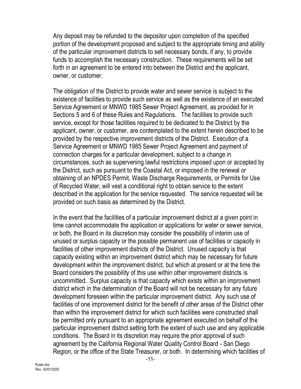Any deposit may be refunded to the depositor upon completion of the specified portion of the development proposed and subject to the appropriate timing and ability of the particular improvement districts to sell necessary bonds, if any, to provide funds to accomplish the necessary construction. These requirements will be set forth in an agreement to be entered into between the District and the applicant, owner, or customer.

The obligation of the District to provide water and sewer service is subject to the existence of facilities to provide such service as well as the existence of an executed Service Agreement or MNWD 1985 Sewer Project Agreement, as provided for in Sections 5 and 6 of these Rules and Regulations. The facilities to provide such service, except for those facilities required to be dedicated to the District by the applicant, owner, or customer, are contemplated to the extent herein described to be provided by the respective improvement districts of the District. Execution of a Service Agreement or MNWD 1985 Sewer Project Agreement and payment of connection charges for a particular development, subject to a change in circumstances, such as supervening lawful restrictions imposed upon or accepted by the District, such as pursuant to the Coastal Act, or imposed in the renewal or obtaining of an NPDES Permit, Waste Discharge Requirements, or Permits for Use of Recycled Water, will vest a conditional right to obtain service to the extent described in the application for the service requested. The service requested will be provided on such basis as determined by the District.

In the event that the facilities of a particular improvement district at a given point in time cannot accommodate the application or applications for water or sewer service, or both, the Board in its discretion may consider the possibility of interim use of unused or surplus capacity or the possible permanent use of facilities or capacity in facilities of other improvement districts of the District. Unused capacity is that capacity existing within an improvement district which may be necessary for future development within the improvement district, but which at present or at the time the Board considers the possibility of this use within other improvement districts is uncommitted. Surplus capacity is that capacity which exists within an improvement district which in the determination of the Board will not be necessary for any future development foreseen within the particular improvement district. Any such use of facilities of one improvement district for the benefit of other areas of the District other than within the improvement district for which such facilities were constructed shall be permitted only pursuant to an appropriate agreement executed on behalf of the particular improvement district setting forth the extent of such use and any applicable conditions. The Board in its discretion may require the prior approval of such agreement by the California Regional Water Quality Control Board - San Diego Region, or the office of the State Treasurer, or both. In determining which facilities of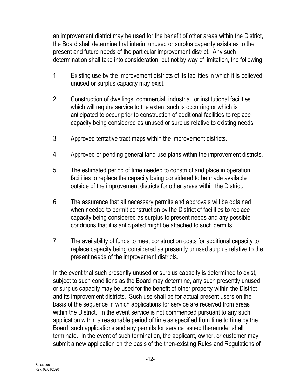an improvement district may be used for the benefit of other areas within the District, the Board shall determine that interim unused or surplus capacity exists as to the present and future needs of the particular improvement district. Any such determination shall take into consideration, but not by way of limitation, the following:

- 1. Existing use by the improvement districts of its facilities in which it is believed unused or surplus capacity may exist.
- 2. Construction of dwellings, commercial, industrial, or institutional facilities which will require service to the extent such is occurring or which is anticipated to occur prior to construction of additional facilities to replace capacity being considered as unused or surplus relative to existing needs.
- 3. Approved tentative tract maps within the improvement districts.
- 4. Approved or pending general land use plans within the improvement districts.
- 5. The estimated period of time needed to construct and place in operation facilities to replace the capacity being considered to be made available outside of the improvement districts for other areas within the District.
- 6. The assurance that all necessary permits and approvals will be obtained when needed to permit construction by the District of facilities to replace capacity being considered as surplus to present needs and any possible conditions that it is anticipated might be attached to such permits.
- 7. The availability of funds to meet construction costs for additional capacity to replace capacity being considered as presently unused surplus relative to the present needs of the improvement districts.

In the event that such presently unused or surplus capacity is determined to exist, subject to such conditions as the Board may determine, any such presently unused or surplus capacity may be used for the benefit of other property within the District and its improvement districts. Such use shall be for actual present users on the basis of the sequence in which applications for service are received from areas within the District. In the event service is not commenced pursuant to any such application within a reasonable period of time as specified from time to time by the Board, such applications and any permits for service issued thereunder shall terminate. In the event of such termination, the applicant, owner, or customer may submit a new application on the basis of the then-existing Rules and Regulations of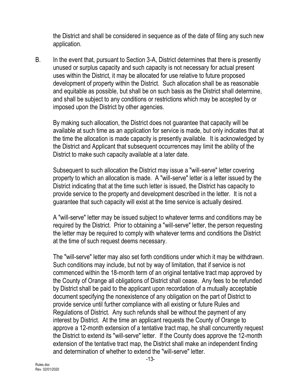the District and shall be considered in sequence as of the date of filing any such new application.

B. In the event that, pursuant to Section 3-A, District determines that there is presently unused or surplus capacity and such capacity is not necessary for actual present uses within the District, it may be allocated for use relative to future proposed development of property within the District. Such allocation shall be as reasonable and equitable as possible, but shall be on such basis as the District shall determine, and shall be subject to any conditions or restrictions which may be accepted by or imposed upon the District by other agencies.

By making such allocation, the District does not guarantee that capacity will be available at such time as an application for service is made, but only indicates that at the time the allocation is made capacity is presently available. It is acknowledged by the District and Applicant that subsequent occurrences may limit the ability of the District to make such capacity available at a later date.

Subsequent to such allocation the District may issue a "will-serve" letter covering property to which an allocation is made. A "will-serve" letter is a letter issued by the District indicating that at the time such letter is issued, the District has capacity to provide service to the property and development described in the letter. It is not a guarantee that such capacity will exist at the time service is actually desired.

A "will-serve" letter may be issued subject to whatever terms and conditions may be required by the District. Prior to obtaining a "will-serve" letter, the person requesting the letter may be required to comply with whatever terms and conditions the District at the time of such request deems necessary.

The "will-serve" letter may also set forth conditions under which it may be withdrawn. Such conditions may include, but not by way of limitation, that if service is not commenced within the 18-month term of an original tentative tract map approved by the County of Orange all obligations of District shall cease. Any fees to be refunded by District shall be paid to the applicant upon recordation of a mutually acceptable document specifying the nonexistence of any obligation on the part of District to provide service until further compliance with all existing or future Rules and Regulations of District. Any such refunds shall be without the payment of any interest by District. At the time an applicant requests the County of Orange to approve a 12-month extension of a tentative tract map, he shall concurrently request the District to extend its "will-serve" letter. If the County does approve the 12-month extension of the tentative tract map, the District shall make an independent finding and determination of whether to extend the "will-serve" letter.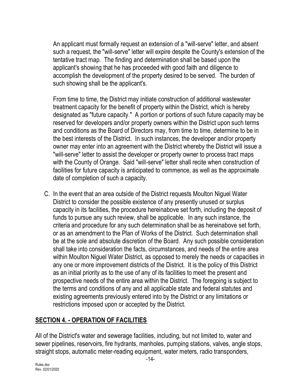An applicant must formally request an extension of a "will-serve" letter, and absent such a request, the "will-serve" letter will expire despite the County's extension of the tentative tract map. The finding and determination shall be based upon the applicant's showing that he has proceeded with good faith and diligence to accomplish the development of the property desired to be served. The burden of such showing shall be the applicant's.

From time to time, the District may initiate construction of additional wastewater treatment capacity for the benefit of property within the District, which is hereby designated as "future capacity." A portion or portions of such future capacity may be reserved for developers and/or property owners within the District upon such terms and conditions as the Board of Directors may, from time to time, determine to be in the best interests of the District. In such instances, the developer and/or property owner may enter into an agreement with the District whereby the District will issue a "will-serve" letter to assist the developer or property owner to process tract maps with the County of Orange. Said "will-serve" letter shall recite when construction of facilities for future capacity is anticipated to commence, as well as the approximate date of completion of such a capacity.

C. In the event that an area outside of the District requests Moulton Niguel Water District to consider the possible existence of any presently unused or surplus capacity in its facilities, the procedure hereinabove set forth, including the deposit of funds to pursue any such review, shall be applicable. In any such instance, the criteria and procedure for any such determination shall be as hereinabove set forth, or as an amendment to the Plan of Works of the District. Such determination shall be at the sole and absolute discretion of the Board. Any such possible consideration shall take into consideration the facts, circumstances, and needs of the entire area within Moulton Niguel Water District, as opposed to merely the needs or capacities in any one or more improvement districts of the District. It is the policy of this District as an initial priority as to the use of any of its facilities to meet the present and prospective needs of the entire area within the District. The foregoing is subject to the terms and conditions of any and all applicable state and federal statutes and existing agreements previously entered into by the District or any limitations or restrictions imposed upon or accepted by the District.

# **SECTION 4. - OPERATION OF FACILITIES**

All of the District's water and sewerage facilities, including, but not limited to, water and sewer pipelines, reservoirs, fire hydrants, manholes, pumping stations, valves, angle stops, straight stops, automatic meter-reading equipment, water meters, radio transponders,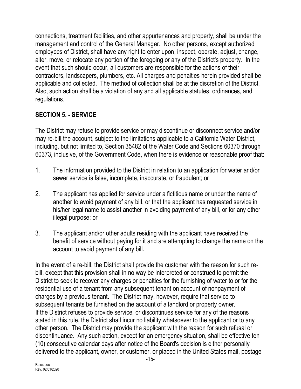connections, treatment facilities, and other appurtenances and property, shall be under the management and control of the General Manager. No other persons, except authorized employees of District, shall have any right to enter upon, inspect, operate, adjust, change, alter, move, or relocate any portion of the foregoing or any of the District's property. In the event that such should occur, all customers are responsible for the actions of their contractors, landscapers, plumbers, etc. All charges and penalties herein provided shall be applicable and collected. The method of collection shall be at the discretion of the District. Also, such action shall be a violation of any and all applicable statutes, ordinances, and regulations.

# **SECTION 5. - SERVICE**

The District may refuse to provide service or may discontinue or disconnect service and/or may re-bill the account, subject to the limitations applicable to a California Water District, including, but not limited to, Section 35482 of the Water Code and Sections 60370 through 60373, inclusive, of the Government Code, when there is evidence or reasonable proof that:

- 1. The information provided to the District in relation to an application for water and/or sewer service is false, incomplete, inaccurate, or fraudulent; or
- 2. The applicant has applied for service under a fictitious name or under the name of another to avoid payment of any bill, or that the applicant has requested service in his/her legal name to assist another in avoiding payment of any bill, or for any other illegal purpose; or
- 3. The applicant and/or other adults residing with the applicant have received the benefit of service without paying for it and are attempting to change the name on the account to avoid payment of any bill.

In the event of a re-bill, the District shall provide the customer with the reason for such rebill, except that this provision shall in no way be interpreted or construed to permit the District to seek to recover any charges or penalties for the furnishing of water to or for the residential use of a tenant from any subsequent tenant on account of nonpayment of charges by a previous tenant. The District may, however, require that service to subsequent tenants be furnished on the account of a landlord or property owner. If the District refuses to provide service, or discontinues service for any of the reasons stated in this rule, the District shall incur no liability whatsoever to the applicant or to any other person. The District may provide the applicant with the reason for such refusal or discontinuance. Any such action, except for an emergency situation, shall be effective ten (10) consecutive calendar days after notice of the Board's decision is either personally delivered to the applicant, owner, or customer, or placed in the United States mail, postage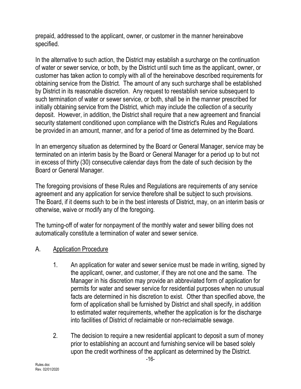prepaid, addressed to the applicant, owner, or customer in the manner hereinabove specified.

In the alternative to such action, the District may establish a surcharge on the continuation of water or sewer service, or both, by the District until such time as the applicant, owner, or customer has taken action to comply with all of the hereinabove described requirements for obtaining service from the District. The amount of any such surcharge shall be established by District in its reasonable discretion. Any request to reestablish service subsequent to such termination of water or sewer service, or both, shall be in the manner prescribed for initially obtaining service from the District, which may include the collection of a security deposit. However, in addition, the District shall require that a new agreement and financial security statement conditioned upon compliance with the District's Rules and Regulations be provided in an amount, manner, and for a period of time as determined by the Board.

In an emergency situation as determined by the Board or General Manager, service may be terminated on an interim basis by the Board or General Manager for a period up to but not in excess of thirty (30) consecutive calendar days from the date of such decision by the Board or General Manager.

The foregoing provisions of these Rules and Regulations are requirements of any service agreement and any application for service therefore shall be subject to such provisions. The Board, if it deems such to be in the best interests of District, may, on an interim basis or otherwise, waive or modify any of the foregoing.

The turning-off of water for nonpayment of the monthly water and sewer billing does not automatically constitute a termination of water and sewer service.

## A. Application Procedure

- 1. An application for water and sewer service must be made in writing, signed by the applicant, owner, and customer, if they are not one and the same. The Manager in his discretion may provide an abbreviated form of application for permits for water and sewer service for residential purposes when no unusual facts are determined in his discretion to exist. Other than specified above, the form of application shall be furnished by District and shall specify, in addition to estimated water requirements, whether the application is for the discharge into facilities of District of reclaimable or non-reclaimable sewage.
- 2. The decision to require a new residential applicant to deposit a sum of money prior to establishing an account and furnishing service will be based solely upon the credit worthiness of the applicant as determined by the District.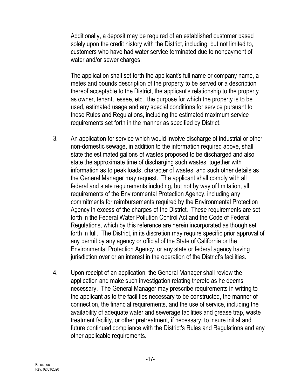Additionally, a deposit may be required of an established customer based solely upon the credit history with the District, including, but not limited to, customers who have had water service terminated due to nonpayment of water and/or sewer charges.

The application shall set forth the applicant's full name or company name, a metes and bounds description of the property to be served or a description thereof acceptable to the District, the applicant's relationship to the property as owner, tenant, lessee, etc., the purpose for which the property is to be used, estimated usage and any special conditions for service pursuant to these Rules and Regulations, including the estimated maximum service requirements set forth in the manner as specified by District.

- 3. An application for service which would involve discharge of industrial or other non-domestic sewage, in addition to the information required above, shall state the estimated gallons of wastes proposed to be discharged and also state the approximate time of discharging such wastes, together with information as to peak loads, character of wastes, and such other details as the General Manager may request. The applicant shall comply with all federal and state requirements including, but not by way of limitation, all requirements of the Environmental Protection Agency, including any commitments for reimbursements required by the Environmental Protection Agency in excess of the charges of the District. These requirements are set forth in the Federal Water Pollution Control Act and the Code of Federal Regulations, which by this reference are herein incorporated as though set forth in full. The District, in its discretion may require specific prior approval of any permit by any agency or official of the State of California or the Environmental Protection Agency, or any state or federal agency having jurisdiction over or an interest in the operation of the District's facilities.
- 4. Upon receipt of an application, the General Manager shall review the application and make such investigation relating thereto as he deems necessary. The General Manager may prescribe requirements in writing to the applicant as to the facilities necessary to be constructed, the manner of connection, the financial requirements, and the use of service, including the availability of adequate water and sewerage facilities and grease trap, waste treatment facility, or other pretreatment, if necessary, to insure initial and future continued compliance with the District's Rules and Regulations and any other applicable requirements.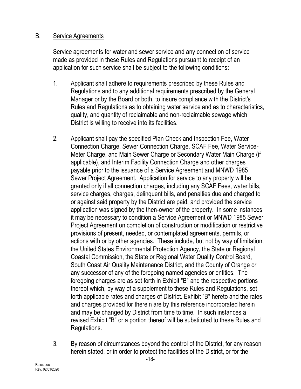#### B. Service Agreements

Service agreements for water and sewer service and any connection of service made as provided in these Rules and Regulations pursuant to receipt of an application for such service shall be subject to the following conditions:

- 1. Applicant shall adhere to requirements prescribed by these Rules and Regulations and to any additional requirements prescribed by the General Manager or by the Board or both, to insure compliance with the District's Rules and Regulations as to obtaining water service and as to characteristics, quality, and quantity of reclaimable and non-reclaimable sewage which District is willing to receive into its facilities.
- 2. Applicant shall pay the specified Plan Check and Inspection Fee, Water Connection Charge, Sewer Connection Charge, SCAF Fee, Water Service-Meter Charge, and Main Sewer Charge or Secondary Water Main Charge (if applicable), and Interim Facility Connection Charge and other charges payable prior to the issuance of a Service Agreement and MNWD 1985 Sewer Project Agreement. Application for service to any property will be granted only if all connection charges, including any SCAF Fees, water bills, service charges, charges, delinquent bills, and penalties due and charged to or against said property by the District are paid, and provided the service application was signed by the then-owner of the property. In some instances it may be necessary to condition a Service Agreement or MNWD 1985 Sewer Project Agreement on completion of construction or modification or restrictive provisions of present, needed, or contemplated agreements, permits, or actions with or by other agencies. These include, but not by way of limitation, the United States Environmental Protection Agency, the State or Regional Coastal Commission, the State or Regional Water Quality Control Board, South Coast Air Quality Maintenance District, and the County of Orange or any successor of any of the foregoing named agencies or entities. The foregoing charges are as set forth in Exhibit "B" and the respective portions thereof which, by way of a supplement to these Rules and Regulations, set forth applicable rates and charges of District. Exhibit "B" hereto and the rates and charges provided for therein are by this reference incorporated herein and may be changed by District from time to time. In such instances a revised Exhibit "B" or a portion thereof will be substituted to these Rules and Regulations.
- 3. By reason of circumstances beyond the control of the District, for any reason herein stated, or in order to protect the facilities of the District, or for the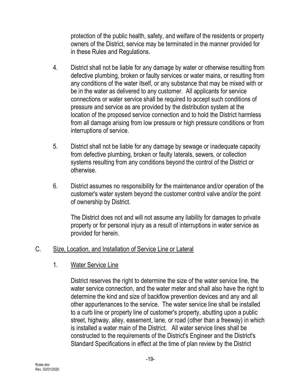protection of the public health, safety, and welfare of the residents or property owners of the District, service may be terminated in the manner provided for in these Rules and Regulations.

- 4. District shall not be liable for any damage by water or otherwise resulting from defective plumbing, broken or faulty services or water mains, or resulting from any conditions of the water itself, or any substance that may be mixed with or be in the water as delivered to any customer. All applicants for service connections or water service shall be required to accept such conditions of pressure and service as are provided by the distribution system at the location of the proposed service connection and to hold the District harmless from all damage arising from low pressure or high pressure conditions or from interruptions of service.
- 5. District shall not be liable for any damage by sewage or inadequate capacity from defective plumbing, broken or faulty laterals, sewers, or collection systems resulting from any conditions beyond the control of the District or otherwise.
- 6. District assumes no responsibility for the maintenance and/or operation of the customer's water system beyond the customer control valve and/or the point of ownership by District.

The District does not and will not assume any liability for damages to private property or for personal injury as a result of interruptions in water service as provided for herein.

#### C. Size, Location, and Installation of Service Line or Lateral

1. Water Service Line

District reserves the right to determine the size of the water service line, the water service connection, and the water meter and shall also have the right to determine the kind and size of backflow prevention devices and any and all other appurtenances to the service. The water service line shall be installed to a curb line or property line of customer's property, abutting upon a public street, highway, alley, easement, lane, or road (other than a freeway) in which is installed a water main of the District. All water service lines shall be constructed to the requirements of the District's Engineer and the District's Standard Specifications in effect at the time of plan review by the District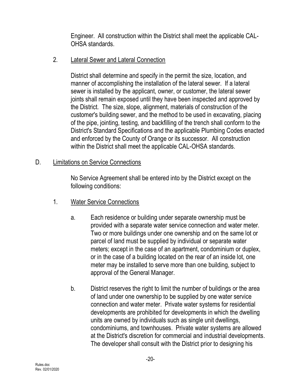Engineer. All construction within the District shall meet the applicable CAL-OHSA standards.

#### 2. Lateral Sewer and Lateral Connection

District shall determine and specify in the permit the size, location, and manner of accomplishing the installation of the lateral sewer. If a lateral sewer is installed by the applicant, owner, or customer, the lateral sewer joints shall remain exposed until they have been inspected and approved by the District. The size, slope, alignment, materials of construction of the customer's building sewer, and the method to be used in excavating, placing of the pipe, jointing, testing, and backfilling of the trench shall conform to the District's Standard Specifications and the applicable Plumbing Codes enacted and enforced by the County of Orange or its successor. All construction within the District shall meet the applicable CAL-OHSA standards.

#### D. Limitations on Service Connections

No Service Agreement shall be entered into by the District except on the following conditions:

- 1. Water Service Connections
	- a. Each residence or building under separate ownership must be provided with a separate water service connection and water meter. Two or more buildings under one ownership and on the same lot or parcel of land must be supplied by individual or separate water meters; except in the case of an apartment, condominium or duplex, or in the case of a building located on the rear of an inside lot, one meter may be installed to serve more than one building, subject to approval of the General Manager.
	- b. District reserves the right to limit the number of buildings or the area of land under one ownership to be supplied by one water service connection and water meter. Private water systems for residential developments are prohibited for developments in which the dwelling units are owned by individuals such as single unit dwellings, condominiums, and townhouses. Private water systems are allowed at the District's discretion for commercial and industrial developments. The developer shall consult with the District prior to designing his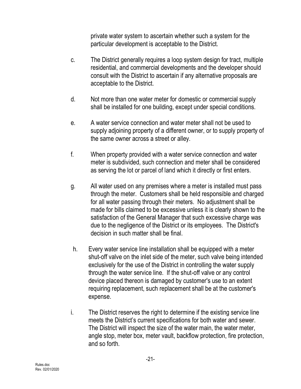private water system to ascertain whether such a system for the particular development is acceptable to the District.

- c. The District generally requires a loop system design for tract, multiple residential, and commercial developments and the developer should consult with the District to ascertain if any alternative proposals are acceptable to the District.
- d. Not more than one water meter for domestic or commercial supply shall be installed for one building, except under special conditions.
- e. A water service connection and water meter shall not be used to supply adjoining property of a different owner, or to supply property of the same owner across a street or alley.
- f. When property provided with a water service connection and water meter is subdivided, such connection and meter shall be considered as serving the lot or parcel of land which it directly or first enters.
- g. All water used on any premises where a meter is installed must pass through the meter. Customers shall be held responsible and charged for all water passing through their meters. No adjustment shall be made for bills claimed to be excessive unless it is clearly shown to the satisfaction of the General Manager that such excessive charge was due to the negligence of the District or its employees. The District's decision in such matter shall be final.
- h. Every water service line installation shall be equipped with a meter shut-off valve on the inlet side of the meter, such valve being intended exclusively for the use of the District in controlling the water supply through the water service line. If the shut-off valve or any control device placed thereon is damaged by customer's use to an extent requiring replacement, such replacement shall be at the customer's expense.
- i. The District reserves the right to determine if the existing service line meets the District's current specifications for both water and sewer. The District will inspect the size of the water main, the water meter, angle stop, meter box, meter vault, backflow protection, fire protection, and so forth.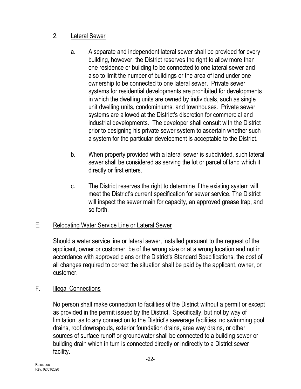# 2. Lateral Sewer

- a. A separate and independent lateral sewer shall be provided for every building, however, the District reserves the right to allow more than one residence or building to be connected to one lateral sewer and also to limit the number of buildings or the area of land under one ownership to be connected to one lateral sewer. Private sewer systems for residential developments are prohibited for developments in which the dwelling units are owned by individuals, such as single unit dwelling units, condominiums, and townhouses. Private sewer systems are allowed at the District's discretion for commercial and industrial developments. The developer shall consult with the District prior to designing his private sewer system to ascertain whether such a system for the particular development is acceptable to the District.
- b. When property provided with a lateral sewer is subdivided, such lateral sewer shall be considered as serving the lot or parcel of land which it directly or first enters.
- c. The District reserves the right to determine if the existing system will meet the District's current specification for sewer service. The District will inspect the sewer main for capacity, an approved grease trap, and so forth.

## E. Relocating Water Service Line or Lateral Sewer

Should a water service line or lateral sewer, installed pursuant to the request of the applicant, owner or customer, be of the wrong size or at a wrong location and not in accordance with approved plans or the District's Standard Specifications, the cost of all changes required to correct the situation shall be paid by the applicant, owner, or customer.

# F. **Illegal Connections**

No person shall make connection to facilities of the District without a permit or except as provided in the permit issued by the District. Specifically, but not by way of limitation, as to any connection to the District's sewerage facilities, no swimming pool drains, roof downspouts, exterior foundation drains, area way drains, or other sources of surface runoff or groundwater shall be connected to a building sewer or building drain which in turn is connected directly or indirectly to a District sewer facility.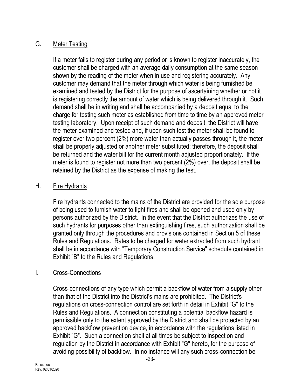#### G. Meter Testing

If a meter fails to register during any period or is known to register inaccurately, the customer shall be charged with an average daily consumption at the same season shown by the reading of the meter when in use and registering accurately. Any customer may demand that the meter through which water is being furnished be examined and tested by the District for the purpose of ascertaining whether or not it is registering correctly the amount of water which is being delivered through it. Such demand shall be in writing and shall be accompanied by a deposit equal to the charge for testing such meter as established from time to time by an approved meter testing laboratory. Upon receipt of such demand and deposit, the District will have the meter examined and tested and, if upon such test the meter shall be found to register over two percent (2%) more water than actually passes through it, the meter shall be properly adjusted or another meter substituted; therefore, the deposit shall be returned and the water bill for the current month adjusted proportionately. If the meter is found to register not more than two percent (2%) over, the deposit shall be retained by the District as the expense of making the test.

#### H. Fire Hydrants

Fire hydrants connected to the mains of the District are provided for the sole purpose of being used to furnish water to fight fires and shall be opened and used only by persons authorized by the District. In the event that the District authorizes the use of such hydrants for purposes other than extinguishing fires, such authorization shall be granted only through the procedures and provisions contained in Section 5 of these Rules and Regulations. Rates to be charged for water extracted from such hydrant shall be in accordance with "Temporary Construction Service" schedule contained in Exhibit "B" to the Rules and Regulations.

## I. Cross-Connections

Cross-connections of any type which permit a backflow of water from a supply other than that of the District into the District's mains are prohibited. The District's regulations on cross-connection control are set forth in detail in Exhibit "G" to the Rules and Regulations. A connection constituting a potential backflow hazard is permissible only to the extent approved by the District and shall be protected by an approved backflow prevention device, in accordance with the regulations listed in Exhibit "G". Such a connection shall at all times be subject to inspection and regulation by the District in accordance with Exhibit "G" hereto, for the purpose of avoiding possibility of backflow. In no instance will any such cross-connection be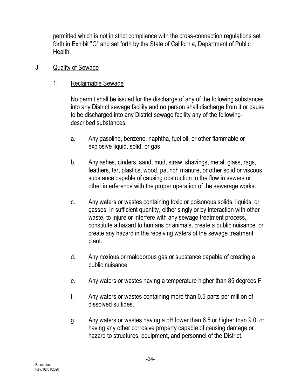permitted which is not in strict compliance with the cross-connection regulations set forth in Exhibit "G" and set forth by the State of California, Department of Public Health.

- J. Quality of Sewage
	- 1. Reclaimable Sewage

No permit shall be issued for the discharge of any of the following substances into any District sewage facility and no person shall discharge from it or cause to be discharged into any District sewage facility any of the followingdescribed substances:

- a. Any gasoline, benzene, naphtha, fuel oil, or other flammable or explosive liquid, solid, or gas.
- b. Any ashes, cinders, sand, mud, straw, shavings, metal, glass, rags, feathers, tar, plastics, wood, paunch manure, or other solid or viscous substance capable of causing obstruction to the flow in sewers or other interference with the proper operation of the sewerage works.
- c. Any waters or wastes containing toxic or poisonous solids, liquids, or gasses, in sufficient quantity, either singly or by interaction with other waste, to injure or interfere with any sewage treatment process, constitute a hazard to humans or animals, create a public nuisance, or create any hazard in the receiving waters of the sewage treatment plant.
- d. Any noxious or malodorous gas or substance capable of creating a public nuisance.
- e. Any waters or wastes having a temperature higher than 85 degrees F.
- f. Any waters or wastes containing more than 0.5 parts per million of dissolved sulfides.
- g. Any waters or wastes having a pH lower than 6.5 or higher than 9.0, or having any other corrosive property capable of causing damage or hazard to structures, equipment, and personnel of the District.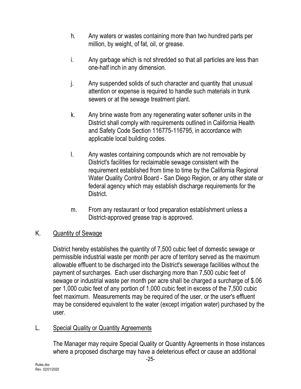- h. Any waters or wastes containing more than two hundred parts per million, by weight, of fat, oil, or grease.
- i. Any garbage which is not shredded so that all particles are less than one-half inch in any dimension.
- j. Any suspended solids of such character and quantity that unusual attention or expense is required to handle such materials in trunk sewers or at the sewage treatment plant.
- k. Any brine waste from any regenerating water softener units in the District shall comply with requirements outlined in California Health and Safety Code Section 116775-116795, in accordance with applicable local building codes.
- l. Any wastes containing compounds which are not removable by District's facilities for reclaimable sewage consistent with the requirement established from time to time by the California Regional Water Quality Control Board - San Diego Region, or any other state or federal agency which may establish discharge requirements for the District.
- m. From any restaurant or food preparation establishment unless a District-approved grease trap is approved.

## K. Quantity of Sewage

District hereby establishes the quantity of 7,500 cubic feet of domestic sewage or permissible industrial waste per month per acre of territory served as the maximum allowable effluent to be discharged into the District's sewerage facilities without the payment of surcharges. Each user discharging more than 7,500 cubic feet of sewage or industrial waste per month per acre shall be charged a surcharge of \$.06 per 1,000 cubic feet of any portion of 1,000 cubic feet in excess of the 7,500 cubic feet maximum. Measurements may be required of the user, or the user's effluent may be considered equivalent to the water (except irrigation water) purchased by the user.

#### L. Special Quality or Quantity Agreements

The Manager may require Special Quality or Quantity Agreements in those instances where a proposed discharge may have a deleterious effect or cause an additional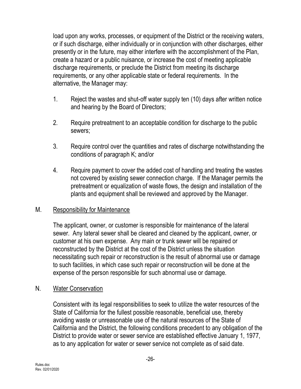load upon any works, processes, or equipment of the District or the receiving waters, or if such discharge, either individually or in conjunction with other discharges, either presently or in the future, may either interfere with the accomplishment of the Plan, create a hazard or a public nuisance, or increase the cost of meeting applicable discharge requirements, or preclude the District from meeting its discharge requirements, or any other applicable state or federal requirements. In the alternative, the Manager may:

- 1. Reject the wastes and shut-off water supply ten (10) days after written notice and hearing by the Board of Directors;
- 2. Require pretreatment to an acceptable condition for discharge to the public sewers;
- 3. Require control over the quantities and rates of discharge notwithstanding the conditions of paragraph K; and/or
- 4. Require payment to cover the added cost of handling and treating the wastes not covered by existing sewer connection charge. If the Manager permits the pretreatment or equalization of waste flows, the design and installation of the plants and equipment shall be reviewed and approved by the Manager.

#### M. Responsibility for Maintenance

The applicant, owner, or customer is responsible for maintenance of the lateral sewer. Any lateral sewer shall be cleared and cleaned by the applicant, owner, or customer at his own expense. Any main or trunk sewer will be repaired or reconstructed by the District at the cost of the District unless the situation necessitating such repair or reconstruction is the result of abnormal use or damage to such facilities, in which case such repair or reconstruction will be done at the expense of the person responsible for such abnormal use or damage.

#### N. Water Conservation

Consistent with its legal responsibilities to seek to utilize the water resources of the State of California for the fullest possible reasonable, beneficial use, thereby avoiding waste or unreasonable use of the natural resources of the State of California and the District, the following conditions precedent to any obligation of the District to provide water or sewer service are established effective January 1, 1977, as to any application for water or sewer service not complete as of said date.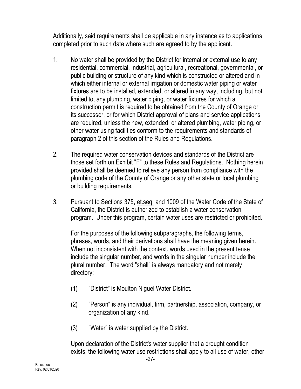Additionally, said requirements shall be applicable in any instance as to applications completed prior to such date where such are agreed to by the applicant.

- 1. No water shall be provided by the District for internal or external use to any residential, commercial, industrial, agricultural, recreational, governmental, or public building or structure of any kind which is constructed or altered and in which either internal or external irrigation or domestic water piping or water fixtures are to be installed, extended, or altered in any way, including, but not limited to, any plumbing, water piping, or water fixtures for which a construction permit is required to be obtained from the County of Orange or its successor, or for which District approval of plans and service applications are required, unless the new, extended, or altered plumbing, water piping, or other water using facilities conform to the requirements and standards of paragraph 2 of this section of the Rules and Regulations.
- 2. The required water conservation devices and standards of the District are those set forth on Exhibit "F" to these Rules and Regulations. Nothing herein provided shall be deemed to relieve any person from compliance with the plumbing code of the County of Orange or any other state or local plumbing or building requirements.
- 3. Pursuant to Sections 375, et.seq. and 1009 of the Water Code of the State of California, the District is authorized to establish a water conservation program. Under this program, certain water uses are restricted or prohibited.

For the purposes of the following subparagraphs, the following terms, phrases, words, and their derivations shall have the meaning given herein. When not inconsistent with the context, words used in the present tense include the singular number, and words in the singular number include the plural number. The word "shall" is always mandatory and not merely directory:

- (1) "District" is Moulton Niguel Water District.
- (2) "Person" is any individual, firm, partnership, association, company, or organization of any kind.
- (3) "Water" is water supplied by the District.

Upon declaration of the District's water supplier that a drought condition exists, the following water use restrictions shall apply to all use of water, other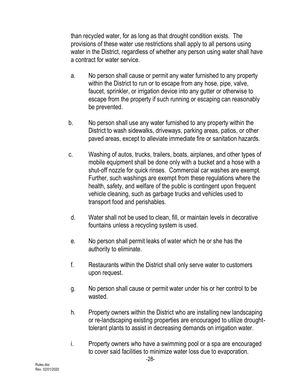than recycled water, for as long as that drought condition exists. The provisions of these water use restrictions shall apply to all persons using water in the District, regardless of whether any person using water shall have a contract for water service.

- a. No person shall cause or permit any water furnished to any property within the District to run or to escape from any hose, pipe, valve, faucet, sprinkler, or irrigation device into any gutter or otherwise to escape from the property if such running or escaping can reasonably be prevented.
- b. No person shall use any water furnished to any property within the District to wash sidewalks, driveways, parking areas, patios, or other paved areas, except to alleviate immediate fire or sanitation hazards.
- c. Washing of autos, trucks, trailers, boats, airplanes, and other types of mobile equipment shall be done only with a bucket and a hose with a shut-off nozzle for quick rinses. Commercial car washes are exempt. Further, such washings are exempt from these regulations where the health, safety, and welfare of the public is contingent upon frequent vehicle cleaning, such as garbage trucks and vehicles used to transport food and perishables.
- d. Water shall not be used to clean, fill, or maintain levels in decorative fountains unless a recycling system is used.
- e. No person shall permit leaks of water which he or she has the authority to eliminate.
- f. Restaurants within the District shall only serve water to customers upon request.
- g. No person shall cause or permit water under his or her control to be wasted.
- h. Property owners within the District who are installing new landscaping or re-landscaping existing properties are encouraged to utilize droughttolerant plants to assist in decreasing demands on irrigation water.
- i. Property owners who have a swimming pool or a spa are encouraged to cover said facilities to minimize water loss due to evaporation.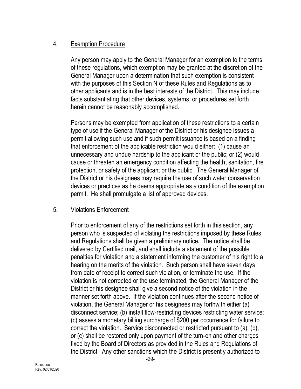## 4. Exemption Procedure

Any person may apply to the General Manager for an exemption to the terms of these regulations, which exemption may be granted at the discretion of the General Manager upon a determination that such exemption is consistent with the purposes of this Section N of these Rules and Regulations as to other applicants and is in the best interests of the District. This may include facts substantiating that other devices, systems, or procedures set forth herein cannot be reasonably accomplished.

Persons may be exempted from application of these restrictions to a certain type of use if the General Manager of the District or his designee issues a permit allowing such use and if such permit issuance is based on a finding that enforcement of the applicable restriction would either: (1) cause an unnecessary and undue hardship to the applicant or the public; or (2) would cause or threaten an emergency condition affecting the health, sanitation, fire protection, or safety of the applicant or the public. The General Manager of the District or his designees may require the use of such water conservation devices or practices as he deems appropriate as a condition of the exemption permit. He shall promulgate a list of approved devices.

#### 5. Violations Enforcement

Prior to enforcement of any of the restrictions set forth in this section, any person who is suspected of violating the restrictions imposed by these Rules and Regulations shall be given a preliminary notice. The notice shall be delivered by Certified mail, and shall include a statement of the possible penalties for violation and a statement informing the customer of his right to a hearing on the merits of the violation. Such person shall have seven days from date of receipt to correct such violation, or terminate the use. If the violation is not corrected or the use terminated, the General Manager of the District or his designee shall give a second notice of the violation in the manner set forth above. If the violation continues after the second notice of violation, the General Manager or his designees may forthwith either (a) disconnect service; (b) install flow-restricting devices restricting water service; (c) assess a monetary billing surcharge of \$200 per occurrence for failure to correct the violation. Service disconnected or restricted pursuant to (a), (b), or (c) shall be restored only upon payment of the turn-on and other charges fixed by the Board of Directors as provided in the Rules and Regulations of the District. Any other sanctions which the District is presently authorized to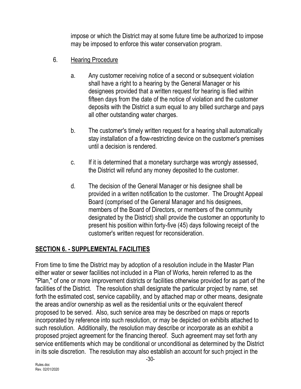impose or which the District may at some future time be authorized to impose may be imposed to enforce this water conservation program.

- 6. Hearing Procedure
	- a. Any customer receiving notice of a second or subsequent violation shall have a right to a hearing by the General Manager or his designees provided that a written request for hearing is filed within fifteen days from the date of the notice of violation and the customer deposits with the District a sum equal to any billed surcharge and pays all other outstanding water charges.
	- b. The customer's timely written request for a hearing shall automatically stay installation of a flow-restricting device on the customer's premises until a decision is rendered.
	- c. If it is determined that a monetary surcharge was wrongly assessed, the District will refund any money deposited to the customer.
	- d. The decision of the General Manager or his designee shall be provided in a written notification to the customer. The Drought Appeal Board (comprised of the General Manager and his designees, members of the Board of Directors, or members of the community designated by the District) shall provide the customer an opportunity to present his position within forty-five (45) days following receipt of the customer's written request for reconsideration.

# **SECTION 6. - SUPPLEMENTAL FACILITIES**

From time to time the District may by adoption of a resolution include in the Master Plan either water or sewer facilities not included in a Plan of Works, herein referred to as the "Plan," of one or more improvement districts or facilities otherwise provided for as part of the facilities of the District. The resolution shall designate the particular project by name, set forth the estimated cost, service capability, and by attached map or other means, designate the areas and/or ownership as well as the residential units or the equivalent thereof proposed to be served. Also, such service area may be described on maps or reports incorporated by reference into such resolution, or may be depicted on exhibits attached to such resolution. Additionally, the resolution may describe or incorporate as an exhibit a proposed project agreement for the financing thereof. Such agreement may set forth any service entitlements which may be conditional or unconditional as determined by the District in its sole discretion. The resolution may also establish an account for such project in the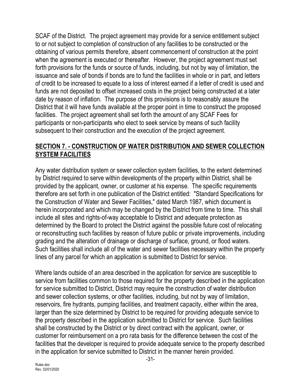SCAF of the District. The project agreement may provide for a service entitlement subject to or not subject to completion of construction of any facilities to be constructed or the obtaining of various permits therefore, absent commencement of construction at the point when the agreement is executed or thereafter. However, the project agreement must set forth provisions for the funds or source of funds, including, but not by way of limitation, the issuance and sale of bonds if bonds are to fund the facilities in whole or in part, and letters of credit to be increased to equate to a loss of interest earned if a letter of credit is used and funds are not deposited to offset increased costs in the project being constructed at a later date by reason of inflation. The purpose of this provisions is to reasonably assure the District that it will have funds available at the proper point in time to construct the proposed facilities. The project agreement shall set forth the amount of any SCAF Fees for participants or non-participants who elect to seek service by means of such facility subsequent to their construction and the execution of the project agreement.

#### **SECTION 7. - CONSTRUCTION OF WATER DISTRIBUTION AND SEWER COLLECTION SYSTEM FACILITIES**

Any water distribution system or sewer collection system facilities, to the extent determined by District required to serve within developments of the property within District, shall be provided by the applicant, owner, or customer at his expense. The specific requirements therefore are set forth in one publication of the District entitled: "Standard Specifications for the Construction of Water and Sewer Facilities," dated March 1987, which document is herein incorporated and which may be changed by the District from time to time. This shall include all sites and rights-of-way acceptable to District and adequate protection as determined by the Board to protect the District against the possible future cost of relocating or reconstructing such facilities by reason of future public or private improvements, including grading and the alteration of drainage or discharge of surface, ground, or flood waters. Such facilities shall include all of the water and sewer facilities necessary within the property lines of any parcel for which an application is submitted to District for service.

Where lands outside of an area described in the application for service are susceptible to service from facilities common to those required for the property described in the application for service submitted to District, District may require the construction of water distribution and sewer collection systems, or other facilities, including, but not by way of limitation, reservoirs, fire hydrants, pumping facilities, and treatment capacity, either within the area, larger than the size determined by District to be required for providing adequate service to the property described in the application submitted to District for service. Such facilities shall be constructed by the District or by direct contract with the applicant, owner, or customer for reimbursement on a pro rata basis for the difference between the cost of the facilities that the developer is required to provide adequate service to the property described in the application for service submitted to District in the manner herein provided.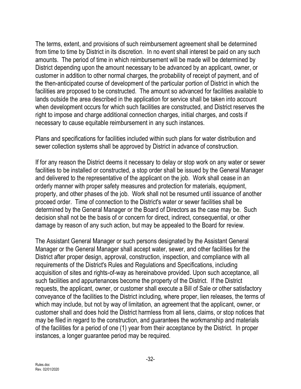The terms, extent, and provisions of such reimbursement agreement shall be determined from time to time by District in its discretion. In no event shall interest be paid on any such amounts. The period of time in which reimbursement will be made will be determined by District depending upon the amount necessary to be advanced by an applicant, owner, or customer in addition to other normal charges, the probability of receipt of payment, and of the then-anticipated course of development of the particular portion of District in which the facilities are proposed to be constructed. The amount so advanced for facilities available to lands outside the area described in the application for service shall be taken into account when development occurs for which such facilities are constructed, and District reserves the right to impose and charge additional connection charges, initial charges, and costs if necessary to cause equitable reimbursement in any such instances.

Plans and specifications for facilities included within such plans for water distribution and sewer collection systems shall be approved by District in advance of construction.

If for any reason the District deems it necessary to delay or stop work on any water or sewer facilities to be installed or constructed, a stop order shall be issued by the General Manager and delivered to the representative of the applicant on the job. Work shall cease in an orderly manner with proper safety measures and protection for materials, equipment, property, and other phases of the job. Work shall not be resumed until issuance of another proceed order. Time of connection to the District's water or sewer facilities shall be determined by the General Manager or the Board of Directors as the case may be. Such decision shall not be the basis of or concern for direct, indirect, consequential, or other damage by reason of any such action, but may be appealed to the Board for review.

The Assistant General Manager or such persons designated by the Assistant General Manager or the General Manager shall accept water, sewer, and other facilities for the District after proper design, approval, construction, inspection, and compliance with all requirements of the District's Rules and Regulations and Specifications, including acquisition of sites and rights-of-way as hereinabove provided. Upon such acceptance, all such facilities and appurtenances become the property of the District. If the District requests, the applicant, owner, or customer shall execute a Bill of Sale or other satisfactory conveyance of the facilities to the District including, where proper, lien releases, the terms of which may include, but not by way of limitation, an agreement that the applicant, owner, or customer shall and does hold the District harmless from all liens, claims, or stop notices that may be filed in regard to the construction, and guarantees the workmanship and materials of the facilities for a period of one (1) year from their acceptance by the District. In proper instances, a longer guarantee period may be required.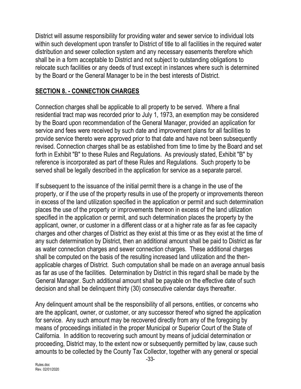District will assume responsibility for providing water and sewer service to individual lots within such development upon transfer to District of title to all facilities in the required water distribution and sewer collection system and any necessary easements therefore which shall be in a form acceptable to District and not subject to outstanding obligations to relocate such facilities or any deeds of trust except in instances where such is determined by the Board or the General Manager to be in the best interests of District.

# **SECTION 8. - CONNECTION CHARGES**

Connection charges shall be applicable to all property to be served. Where a final residential tract map was recorded prior to July 1, 1973, an exemption may be considered by the Board upon recommendation of the General Manager, provided an application for service and fees were received by such date and improvement plans for all facilities to provide service thereto were approved prior to that date and have not been subsequently revised. Connection charges shall be as established from time to time by the Board and set forth in Exhibit "B" to these Rules and Regulations. As previously stated, Exhibit "B" by reference is incorporated as part of these Rules and Regulations. Such property to be served shall be legally described in the application for service as a separate parcel.

If subsequent to the issuance of the initial permit there is a change in the use of the property, or if the use of the property results in use of the property or improvements thereon in excess of the land utilization specified in the application or permit and such determination places the use of the property or improvements thereon in excess of the land utilization specified in the application or permit, and such determination places the property by the applicant, owner, or customer in a different class or at a higher rate as far as fee capacity charges and other charges of District as they exist at this time or as they exist at the time of any such determination by District, then an additional amount shall be paid to District as far as water connection charges and sewer connection charges. These additional charges shall be computed on the basis of the resulting increased land utilization and the thenapplicable charges of District. Such computation shall be made on an average annual basis as far as use of the facilities. Determination by District in this regard shall be made by the General Manager. Such additional amount shall be payable on the effective date of such decision and shall be delinquent thirty (30) consecutive calendar days thereafter.

Any delinquent amount shall be the responsibility of all persons, entities, or concerns who are the applicant, owner, or customer, or any successor thereof who signed the application for service. Any such amount may be recovered directly from any of the foregoing by means of proceedings initiated in the proper Municipal or Superior Court of the State of California. In addition to recovering such amount by means of judicial determination or proceeding, District may, to the extent now or subsequently permitted by law, cause such amounts to be collected by the County Tax Collector, together with any general or special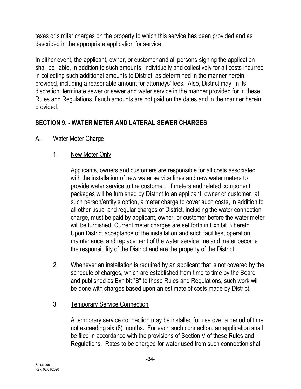taxes or similar charges on the property to which this service has been provided and as described in the appropriate application for service.

In either event, the applicant, owner, or customer and all persons signing the application shall be liable, in addition to such amounts, individually and collectively for all costs incurred in collecting such additional amounts to District, as determined in the manner herein provided, including a reasonable amount for attorneys' fees. Also, District may, in its discretion, terminate sewer or sewer and water service in the manner provided for in these Rules and Regulations if such amounts are not paid on the dates and in the manner herein provided.

#### **SECTION 9. - WATER METER AND LATERAL SEWER CHARGES**

- A. Water Meter Charge
	- 1. New Meter Only

Applicants, owners and customers are responsible for all costs associated with the installation of new water service lines and new water meters to provide water service to the customer. If meters and related component packages will be furnished by District to an applicant, owner or customer**,** at such person/entity's option, a meter charge to cover such costs, in addition to all other usual and regular charges of District, including the water connection charge, must be paid by applicant, owner, or customer before the water meter will be furnished. Current meter charges are set forth in Exhibit B hereto. Upon District acceptance of the installation and such facilities, operation, maintenance, and replacement of the water service line and meter become the responsibility of the District and are the property of the District.

- 2. Whenever an installation is required by an applicant that is not covered by the schedule of charges, which are established from time to time by the Board and published as Exhibit "B" to these Rules and Regulations, such work will be done with charges based upon an estimate of costs made by District.
- 3. Temporary Service Connection

A temporary service connection may be installed for use over a period of time not exceeding six (6) months. For each such connection, an application shall be filed in accordance with the provisions of Section V of these Rules and Regulations. Rates to be charged for water used from such connection shall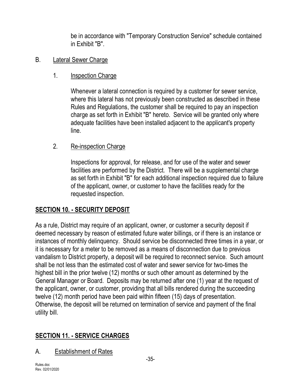be in accordance with "Temporary Construction Service" schedule contained in Exhibit "B".

#### B. Lateral Sewer Charge

# 1. **Inspection Charge**

Whenever a lateral connection is required by a customer for sewer service, where this lateral has not previously been constructed as described in these Rules and Regulations, the customer shall be required to pay an inspection charge as set forth in Exhibit "B" hereto. Service will be granted only where adequate facilities have been installed adjacent to the applicant's property line.

# 2. Re-inspection Charge

Inspections for approval, for release, and for use of the water and sewer facilities are performed by the District. There will be a supplemental charge as set forth in Exhibit "B" for each additional inspection required due to failure of the applicant, owner, or customer to have the facilities ready for the requested inspection.

# **SECTION 10. - SECURITY DEPOSIT**

As a rule, District may require of an applicant, owner, or customer a security deposit if deemed necessary by reason of estimated future water billings, or if there is an instance or instances of monthly delinquency. Should service be disconnected three times in a year, or it is necessary for a meter to be removed as a means of disconnection due to previous vandalism to District property, a deposit will be required to reconnect service. Such amount shall be not less than the estimated cost of water and sewer service for two-times the highest bill in the prior twelve (12) months or such other amount as determined by the General Manager or Board. Deposits may be returned after one (1) year at the request of the applicant, owner, or customer, providing that all bills rendered during the succeeding twelve (12) month period have been paid within fifteen (15) days of presentation. Otherwise, the deposit will be returned on termination of service and payment of the final utility bill.

# **SECTION 11. - SERVICE CHARGES**

# A. Establishment of Rates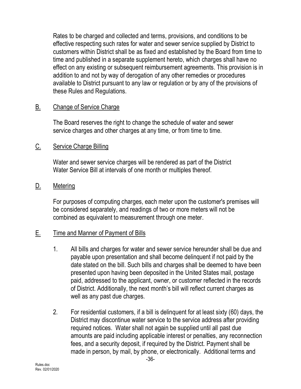Rates to be charged and collected and terms, provisions, and conditions to be effective respecting such rates for water and sewer service supplied by District to customers within District shall be as fixed and established by the Board from time to time and published in a separate supplement hereto, which charges shall have no effect on any existing or subsequent reimbursement agreements. This provision is in addition to and not by way of derogation of any other remedies or procedures available to District pursuant to any law or regulation or by any of the provisions of these Rules and Regulations.

#### B. Change of Service Charge

The Board reserves the right to change the schedule of water and sewer service charges and other charges at any time, or from time to time.

#### C. Service Charge Billing

Water and sewer service charges will be rendered as part of the District Water Service Bill at intervals of one month or multiples thereof.

#### D. Metering

For purposes of computing charges, each meter upon the customer's premises will be considered separately, and readings of two or more meters will not be combined as equivalent to measurement through one meter.

#### E. Time and Manner of Payment of Bills

- 1. All bills and charges for water and sewer service hereunder shall be due and payable upon presentation and shall become delinquent if not paid by the date stated on the bill. Such bills and charges shall be deemed to have been presented upon having been deposited in the United States mail, postage paid, addressed to the applicant, owner, or customer reflected in the records of District. Additionally, the next month's bill will reflect current charges as well as any past due charges.
- 2. For residential customers, if a bill is delinquent for at least sixty (60) days, the District may discontinue water service to the service address after providing required notices. Water shall not again be supplied until all past due amounts are paid including applicable interest or penalties, any reconnection fees, and a security deposit, if required by the District. Payment shall be made in person, by mail, by phone, or electronically. Additional terms and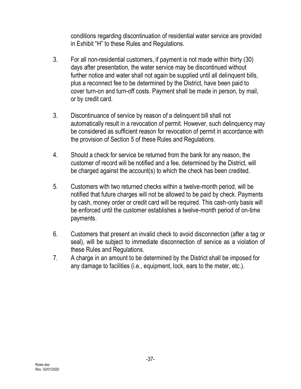conditions regarding discontinuation of residential water service are provided in Exhibit "H" to these Rules and Regulations.

- 3. For all non-residential customers, if payment is not made within thirty (30) days after presentation, the water service may be discontinued without further notice and water shall not again be supplied until all delinquent bills, plus a reconnect fee to be determined by the District, have been paid to cover turn-on and turn-off costs. Payment shall be made in person, by mail, or by credit card.
- 3. Discontinuance of service by reason of a delinquent bill shall not automatically result in a revocation of permit. However, such delinquency may be considered as sufficient reason for revocation of permit in accordance with the provision of Section 5 of these Rules and Regulations.
- 4. Should a check for service be returned from the bank for any reason, the customer of record will be notified and a fee, determined by the District, will be charged against the account(s) to which the check has been credited.
- 5. Customers with two returned checks within a twelve-month period, will be notified that future charges will not be allowed to be paid by check. Payments by cash, money order or credit card will be required. This cash-only basis will be enforced until the customer establishes a twelve-month period of on-time payments.
- 6. Customers that present an invalid check to avoid disconnection (after a tag or seal), will be subject to immediate disconnection of service as a violation of these Rules and Regulations.
- 7. A charge in an amount to be determined by the District shall be imposed for any damage to facilities (i.e., equipment, lock, ears to the meter, etc.).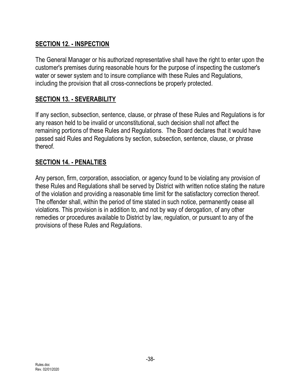## **SECTION 12. - INSPECTION**

The General Manager or his authorized representative shall have the right to enter upon the customer's premises during reasonable hours for the purpose of inspecting the customer's water or sewer system and to insure compliance with these Rules and Regulations, including the provision that all cross-connections be properly protected.

## **SECTION 13. - SEVERABILITY**

If any section, subsection, sentence, clause, or phrase of these Rules and Regulations is for any reason held to be invalid or unconstitutional, such decision shall not affect the remaining portions of these Rules and Regulations. The Board declares that it would have passed said Rules and Regulations by section, subsection, sentence, clause, or phrase thereof.

#### **SECTION 14. - PENALTIES**

Any person, firm, corporation, association, or agency found to be violating any provision of these Rules and Regulations shall be served by District with written notice stating the nature of the violation and providing a reasonable time limit for the satisfactory correction thereof. The offender shall, within the period of time stated in such notice, permanently cease all violations. This provision is in addition to, and not by way of derogation, of any other remedies or procedures available to District by law, regulation, or pursuant to any of the provisions of these Rules and Regulations.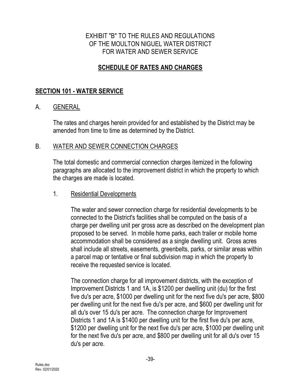#### EXHIBIT "B" TO THE RULES AND REGULATIONS OF THE MOULTON NIGUEL WATER DISTRICT FOR WATER AND SEWER SERVICE

## **SCHEDULE OF RATES AND CHARGES**

#### **SECTION 101 - WATER SERVICE**

#### A. GENERAL

The rates and charges herein provided for and established by the District may be amended from time to time as determined by the District.

#### B. WATER AND SEWER CONNECTION CHARGES

The total domestic and commercial connection charges itemized in the following paragraphs are allocated to the improvement district in which the property to which the charges are made is located.

#### 1. Residential Developments

The water and sewer connection charge for residential developments to be connected to the District's facilities shall be computed on the basis of a charge per dwelling unit per gross acre as described on the development plan proposed to be served. In mobile home parks, each trailer or mobile home accommodation shall be considered as a single dwelling unit. Gross acres shall include all streets, easements, greenbelts, parks, or similar areas within a parcel map or tentative or final subdivision map in which the property to receive the requested service is located.

The connection charge for all improvement districts, with the exception of Improvement Districts 1 and 1A, is \$1200 per dwelling unit (du) for the first five du's per acre, \$1000 per dwelling unit for the next five du's per acre, \$800 per dwelling unit for the next five du's per acre, and \$600 per dwelling unit for all du's over 15 du's per acre. The connection charge for Improvement Districts 1 and 1A is \$1400 per dwelling unit for the first five du's per acre, \$1200 per dwelling unit for the next five du's per acre, \$1000 per dwelling unit for the next five du's per acre, and \$800 per dwelling unit for all du's over 15 du's per acre.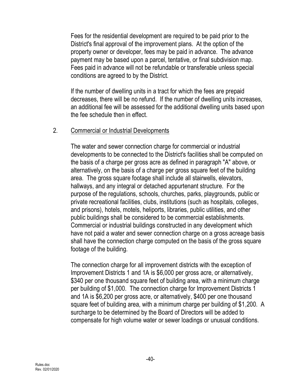Fees for the residential development are required to be paid prior to the District's final approval of the improvement plans. At the option of the property owner or developer, fees may be paid in advance. The advance payment may be based upon a parcel, tentative, or final subdivision map. Fees paid in advance will not be refundable or transferable unless special conditions are agreed to by the District.

If the number of dwelling units in a tract for which the fees are prepaid decreases, there will be no refund. If the number of dwelling units increases, an additional fee will be assessed for the additional dwelling units based upon the fee schedule then in effect.

#### 2. Commercial or Industrial Developments

The water and sewer connection charge for commercial or industrial developments to be connected to the District's facilities shall be computed on the basis of a charge per gross acre as defined in paragraph "A" above, or alternatively, on the basis of a charge per gross square feet of the building area. The gross square footage shall include all stairwells, elevators, hallways, and any integral or detached appurtenant structure. For the purpose of the regulations, schools, churches, parks, playgrounds, public or private recreational facilities, clubs, institutions (such as hospitals, colleges, and prisons), hotels, motels, heliports, libraries, public utilities, and other public buildings shall be considered to be commercial establishments. Commercial or industrial buildings constructed in any development which have not paid a water and sewer connection charge on a gross acreage basis shall have the connection charge computed on the basis of the gross square footage of the building.

The connection charge for all improvement districts with the exception of Improvement Districts 1 and 1A is \$6,000 per gross acre, or alternatively, \$340 per one thousand square feet of building area, with a minimum charge per building of \$1,000. The connection charge for Improvement Districts 1 and 1A is \$6,200 per gross acre, or alternatively, \$400 per one thousand square feet of building area, with a minimum charge per building of \$1,200. A surcharge to be determined by the Board of Directors will be added to compensate for high volume water or sewer loadings or unusual conditions.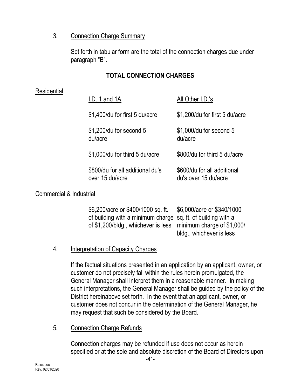#### 3. Connection Charge Summary

Set forth in tabular form are the total of the connection charges due under paragraph "B".

## **TOTAL CONNECTION CHARGES**

#### Residential

| I.D. 1 and 1A                                       | All Other I.D.'s                                    |
|-----------------------------------------------------|-----------------------------------------------------|
| \$1,400/du for first 5 du/acre                      | \$1,200/du for first 5 du/acre                      |
| \$1,200/du for second 5<br>du/acre                  | \$1,000/du for second 5<br>du/acre                  |
| \$1,000/du for third 5 du/acre                      | \$800/du for third 5 du/acre                        |
| \$800/du for all additional du's<br>over 15 du/acre | \$600/du for all additional<br>du's over 15 du/acre |
|                                                     |                                                     |

#### Commercial & Industrial

| \$6,200/acre or \$400/1000 sq. ft.                             | \$6,000/acre or \$340/1000 |
|----------------------------------------------------------------|----------------------------|
| of building with a minimum charge sq. ft. of building with a   |                            |
| of \$1,200/bldg., whichever is less minimum charge of \$1,000/ |                            |
|                                                                | bldg., whichever is less   |

## 4. Interpretation of Capacity Charges

If the factual situations presented in an application by an applicant, owner, or customer do not precisely fall within the rules herein promulgated, the General Manager shall interpret them in a reasonable manner. In making such interpretations, the General Manager shall be guided by the policy of the District hereinabove set forth. In the event that an applicant, owner, or customer does not concur in the determination of the General Manager, he may request that such be considered by the Board.

## 5. Connection Charge Refunds

Connection charges may be refunded if use does not occur as herein specified or at the sole and absolute discretion of the Board of Directors upon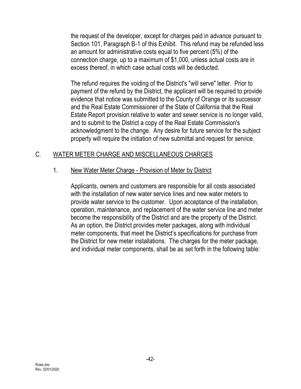the request of the developer, except for charges paid in advance pursuant to Section 101, Paragraph B-1 of this Exhibit. This refund may be refunded less an amount for administrative costs equal to five percent (5%) of the connection charge, up to a maximum of \$1,000, unless actual costs are in excess thereof, in which case actual costs will be deducted.

The refund requires the voiding of the District's "will serve" letter. Prior to payment of the refund by the District, the applicant will be required to provide evidence that notice was submitted to the County of Orange or its successor and the Real Estate Commissioner of the State of California that the Real Estate Report provision relative to water and sewer service is no longer valid, and to submit to the District a copy of the Real Estate Commission's acknowledgment to the change. Any desire for future service for the subject property will require the initiation of new submittal and request for service.

#### C. WATER METER CHARGE AND MISCELLANEOUS CHARGES

#### 1. New Water Meter Charge - Provision of Meter by District

Applicants, owners and customers are responsible for all costs associated with the installation of new water service lines and new water meters to provide water service to the customer. Upon acceptance of the installation, operation, maintenance, and replacement of the water service line and meter become the responsibility of the District and are the property of the District. As an option, the District provides meter packages, along with individual meter components, that meet the District's specifications for purchase from the District for new meter installations. The charges for the meter package, and individual meter components, shall be as set forth in the following table: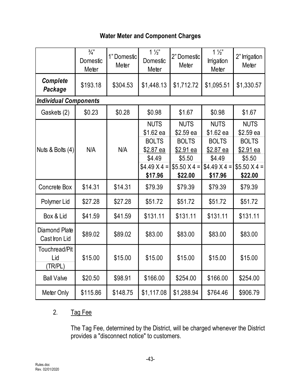## **Water Meter and Component Charges**

|                                 | $\frac{3}{4}$<br>Domestic<br>Meter | 1" Domestic<br>Meter | $1\frac{1}{2}$<br>Domestic<br>Meter                                                              | 2" Domestic<br>Meter                                                                       | $1\frac{1}{2}$<br>Irrigation<br>Meter                                                            | 2" Irrigation<br>Meter                                                                     |
|---------------------------------|------------------------------------|----------------------|--------------------------------------------------------------------------------------------------|--------------------------------------------------------------------------------------------|--------------------------------------------------------------------------------------------------|--------------------------------------------------------------------------------------------|
| <b>Complete</b><br>Package      | \$193.18                           | \$304.53             | \$1,448.13                                                                                       | \$1,712.72                                                                                 | \$1,095.51                                                                                       | \$1,330.57                                                                                 |
| <b>Individual Components</b>    |                                    |                      |                                                                                                  |                                                                                            |                                                                                                  |                                                                                            |
| Gaskets (2)                     | \$0.23                             | \$0.28               | \$0.98                                                                                           | \$1.67                                                                                     | \$0.98                                                                                           | \$1.67                                                                                     |
| Nuts & Bolts $(4)$              | N/A                                | N/A                  | <b>NUTS</b><br>\$1.62 ea<br><b>BOLTS</b><br>\$2.87 ea<br>\$4.49<br>$$4.49 \times 4 =$<br>\$17.96 | <b>NUTS</b><br>\$2.59 ea<br><b>BOLTS</b><br>\$2.91 ea<br>\$5.50<br>$$5.50 X4 =$<br>\$22.00 | <b>NUTS</b><br>\$1.62 ea<br><b>BOLTS</b><br>\$2.87 ea<br>\$4.49<br>$$4.49 \times 4 =$<br>\$17.96 | <b>NUTS</b><br>\$2.59 ea<br><b>BOLTS</b><br>\$2.91 ea<br>\$5.50<br>$$5.50 X4 =$<br>\$22.00 |
| Concrete Box                    | \$14.31                            | \$14.31              | \$79.39                                                                                          | \$79.39                                                                                    | \$79.39                                                                                          | \$79.39                                                                                    |
| Polymer Lid                     | \$27.28                            | \$27.28              | \$51.72                                                                                          | \$51.72                                                                                    | \$51.72                                                                                          | \$51.72                                                                                    |
| Box & Lid                       | \$41.59                            | \$41.59              | \$131.11                                                                                         | \$131.11                                                                                   | \$131.11                                                                                         | \$131.11                                                                                   |
| Diamond Plate<br>Cast Iron Lid  | \$89.02                            | \$89.02              | \$83.00                                                                                          | \$83.00                                                                                    | \$83.00                                                                                          | \$83.00                                                                                    |
| Touchread/Pit<br>Lid<br>(TR/PL) | \$15.00                            | \$15.00              | \$15.00                                                                                          | \$15.00                                                                                    | \$15.00                                                                                          | \$15.00                                                                                    |
| <b>Ball Valve</b>               | \$20.50                            | \$98.91              | \$166.00                                                                                         | \$254.00                                                                                   | \$166.00                                                                                         | \$254.00                                                                                   |
| Meter Only                      | \$115.86                           | \$148.75             | \$1,117.08                                                                                       | \$1,288.94                                                                                 | \$764.46                                                                                         | \$906.79                                                                                   |

## 2. Tag Fee

The Tag Fee, determined by the District, will be charged whenever the District provides a "disconnect notice" to customers.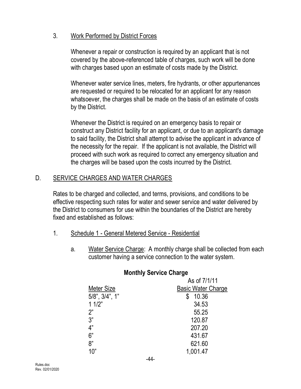#### 3. Work Performed by District Forces

Whenever a repair or construction is required by an applicant that is not covered by the above-referenced table of charges, such work will be done with charges based upon an estimate of costs made by the District.

Whenever water service lines, meters, fire hydrants, or other appurtenances are requested or required to be relocated for an applicant for any reason whatsoever, the charges shall be made on the basis of an estimate of costs by the District.

Whenever the District is required on an emergency basis to repair or construct any District facility for an applicant, or due to an applicant's damage to said facility, the District shall attempt to advise the applicant in advance of the necessity for the repair. If the applicant is not available, the District will proceed with such work as required to correct any emergency situation and the charges will be based upon the costs incurred by the District.

## D. SERVICE CHARGES AND WATER CHARGES

Rates to be charged and collected, and terms, provisions, and conditions to be effective respecting such rates for water and sewer service and water delivered by the District to consumers for use within the boundaries of the District are hereby fixed and established as follows:

- 1. Schedule 1 General Metered Service Residential
	- a. Water Service Charge: A monthly charge shall be collected from each customer having a service connection to the water system.

|                | As of 7/1/11              |
|----------------|---------------------------|
| Meter Size     | <b>Basic Water Charge</b> |
| 5/8", 3/4", 1" | 10.36                     |
| 11/2"          | 34.53                     |
| 2"             | 55.25                     |
| ვ"             | 120.87                    |
| 4"             | 207.20                    |
| 6"             | 431.67                    |
| 8"             | 621.60                    |
| 10"            | 1,001.47                  |
|                | $\cdot$ $\cdot$           |

#### **Monthly Service Charge**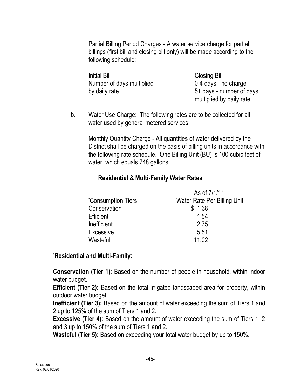Partial Billing Period Charges - A water service charge for partial billings (first bill and closing bill only) will be made according to the following schedule:

Initial Bill Closing Bill Number of days multiplied 0-4 days - no charge by daily rate 5+ days - number of days

multiplied by daily rate

b. Water Use Charge: The following rates are to be collected for all water used by general metered services.

Monthly Quantity Charge - All quantities of water delivered by the District shall be charged on the basis of billing units in accordance with the following rate schedule. One Billing Unit (BU) is 100 cubic feet of water, which equals 748 gallons.

#### **Residential & Multi-Family Water Rates**

|                           | As of 7/1/11                       |
|---------------------------|------------------------------------|
| <i>*Consumption Tiers</i> | <b>Water Rate Per Billing Unit</b> |
| Conservation              | \$1.38                             |
| <b>Efficient</b>          | 1.54                               |
| Inefficient               | 2.75                               |
| Excessive                 | 5.51                               |
| Wasteful                  | 11.02                              |

#### **\*Residential and Multi-Family:**

**Conservation (Tier 1):** Based on the number of people in household, within indoor water budget.

**Efficient (Tier 2):** Based on the total irrigated landscaped area for property, within outdoor water budget.

**Inefficient (Tier 3):** Based on the amount of water exceeding the sum of Tiers 1 and 2 up to 125% of the sum of Tiers 1 and 2.

**Excessive (Tier 4):** Based on the amount of water exceeding the sum of Tiers 1, 2 and 3 up to 150% of the sum of Tiers 1 and 2.

**Wasteful (Tier 5):** Based on exceeding your total water budget by up to 150%.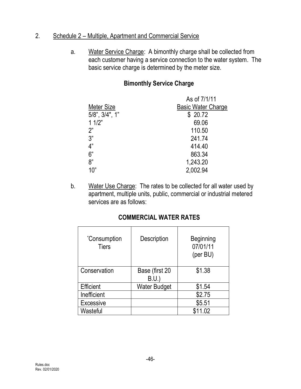#### 2. Schedule 2 – Multiple, Apartment and Commercial Service

a. Water Service Charge: A bimonthly charge shall be collected from each customer having a service connection to the water system. The basic service charge is determined by the meter size.

#### **Bimonthly Service Charge**

|                      | As of 7/1/11              |
|----------------------|---------------------------|
| Meter Size           | <b>Basic Water Charge</b> |
| $5/8$ ", $3/4$ ", 1" | \$20.72                   |
| 11/2"                | 69.06                     |
| 2"                   | 110.50                    |
| 3"                   | 241.74                    |
| 4"                   | 414.40                    |
| 6"                   | 863.34                    |
| 8"                   | 1,243.20                  |
| 10"                  | 2,002.94                  |

b. Water Use Charge: The rates to be collected for all water used by apartment, multiple units, public, commercial or industrial metered services are as follows:

#### **COMMERCIAL WATER RATES**

| <i>*Consumption</i><br><b>Tiers</b> | Description            | <b>Beginning</b><br>07/01/11<br>(per BU) |
|-------------------------------------|------------------------|------------------------------------------|
| Conservation                        | Base (first 20<br>B.U. | \$1.38                                   |
| Efficient                           | <b>Water Budget</b>    | \$1.54                                   |
| Inefficient                         |                        | \$2.75                                   |
| Excessive                           |                        | \$5.51                                   |
| Wasteful                            |                        | \$11.02                                  |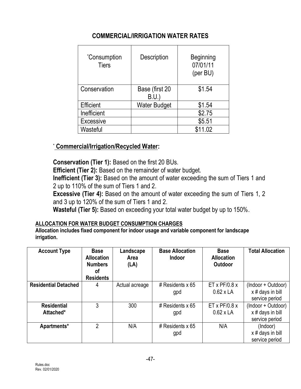## **COMMERCIAL/IRRIGATION WATER RATES**

| <i>*Consumption</i><br><b>Tiers</b> | Description            | <b>Beginning</b><br>07/01/11<br>(per BU) |
|-------------------------------------|------------------------|------------------------------------------|
| Conservation                        | Base (first 20<br>B.U. | \$1.54                                   |
| Efficient                           | <b>Water Budget</b>    | \$1.54                                   |
| Inefficient                         |                        | \$2.75                                   |
| <b>Excessive</b>                    |                        | \$5.51                                   |
| Wasteful                            |                        | \$11.02                                  |

#### \* **Commercial/Irrigation/Recycled Water:**

**Conservation (Tier 1):** Based on the first 20 BUs.

**Efficient (Tier 2):** Based on the remainder of water budget.

**Inefficient (Tier 3):** Based on the amount of water exceeding the sum of Tiers 1 and 2 up to 110% of the sum of Tiers 1 and 2.

**Excessive (Tier 4):** Based on the amount of water exceeding the sum of Tiers 1, 2 and 3 up to 120% of the sum of Tiers 1 and 2.

**Wasteful (Tier 5):** Based on exceeding your total water budget by up to 150%.

#### **ALLOCATION FOR WATER BUDGET CONSUMPTION CHARGES**

**Allocation includes fixed component for indoor usage and variable component for landscape irrigation.**

| <b>Account Type</b>             | <b>Base</b><br><b>Allocation</b><br><b>Numbers</b><br>οf<br><b>Residents</b> | Landscape<br>Area<br>(LA) | <b>Base Allocation</b><br><b>Indoor</b> | <b>Base</b><br><b>Allocation</b><br><b>Outdoor</b> | <b>Total Allocation</b>                                  |
|---------------------------------|------------------------------------------------------------------------------|---------------------------|-----------------------------------------|----------------------------------------------------|----------------------------------------------------------|
| <b>Residential Detached</b>     | 4                                                                            | Actual acreage            | # Residents $x$ 65<br>gpd               | ET x $PF/0.8 x$<br>$0.62 \times LA$                | (Indoor + Outdoor)<br>x # days in bill<br>service period |
| <b>Residential</b><br>Attached* | 3                                                                            | 300                       | # Residents $x$ 65<br>gpd               | ET x $PF/0.8 x$<br>$0.62 \times LA$                | (Indoor + Outdoor)<br>x # days in bill<br>service period |
| Apartments*                     | 2                                                                            | N/A                       | # Residents $x$ 65<br>gpd               | N/A                                                | (Indoor)<br>$x \#$ days in bill<br>service period        |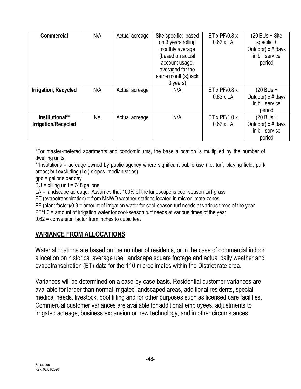| <b>Commercial</b>                      | N/A | Actual acreage | Site specific: based<br>on 3 years rolling<br>monthly average<br>(based on actual<br>account usage,<br>averaged for the<br>same month(s)back<br>3 years) | ET x $PF/0.8 x$<br>$0.62 \times LA$           | (20 BUs + Site<br>specific +<br>Outdoor) x # days<br>in bill service<br>period |
|----------------------------------------|-----|----------------|----------------------------------------------------------------------------------------------------------------------------------------------------------|-----------------------------------------------|--------------------------------------------------------------------------------|
| Irrigation, Recycled                   | N/A | Actual acreage | N/A                                                                                                                                                      | ET x $PF/0.8 x$<br>$0.62 \times LA$           | $(20$ BUs +<br>Outdoor) x # days<br>in bill service<br>period                  |
| Institutional**<br>Irrigation/Recycled | NA. | Actual acreage | N/A                                                                                                                                                      | $ET \times PF/1.0 \times$<br>$0.62 \times LA$ | $(20$ BUs +<br>Outdoor) x # days<br>in bill service<br>period                  |

\*For master-metered apartments and condominiums, the base allocation is multiplied by the number of dwelling units.

\*\*Institutional= acreage owned by public agency where significant public use (i.e. turf, playing field, park areas; but excluding (i.e.) slopes, median strips)

gpd = gallons per day

BU = billing unit = 748 gallons

LA = landscape acreage. Assumes that 100% of the landscape is cool-season turf-grass

ET (evapotranspiration) = from MNWD weather stations located in microclimate zones

PF (plant factor)/0.8 = amount of irrigation water for cool-season turf needs at various times of the year

PF/1.0 = amount of irrigation water for cool-season turf needs at various times of the year

0.62 = conversion factor from inches to cubic feet

## **VARIANCE FROM ALLOCATIONS**

Water allocations are based on the number of residents, or in the case of commercial indoor allocation on historical average use, landscape square footage and actual daily weather and evapotranspiration (ET) data for the 110 microclimates within the District rate area.

Variances will be determined on a case-by-case basis. Residential customer variances are available for larger than normal irrigated landscaped areas, additional residents, special medical needs, livestock, pool filling and for other purposes such as licensed care facilities. Commercial customer variances are available for additional employees, adjustments to irrigated acreage, business expansion or new technology, and in other circumstances.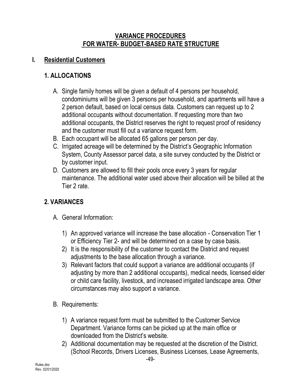#### **VARIANCE PROCEDURES FOR WATER- BUDGET-BASED RATE STRUCTURE**

## **I. Residential Customers**

## **1. ALLOCATIONS**

- A. Single family homes will be given a default of 4 persons per household, condominiums will be given 3 persons per household, and apartments will have a 2 person default, based on local census data. Customers can request up to 2 additional occupants without documentation. If requesting more than two additional occupants, the District reserves the right to request proof of residency and the customer must fill out a variance request form.
- B. Each occupant will be allocated 65 gallons per person per day.
- C. Irrigated acreage will be determined by the District's Geographic Information System, County Assessor parcel data, a site survey conducted by the District or by customer input.
- D. Customers are allowed to fill their pools once every 3 years for regular maintenance. The additional water used above their allocation will be billed at the Tier 2 rate.

## **2. VARIANCES**

- A. General Information:
	- 1) An approved variance will increase the base allocation Conservation Tier 1 or Efficiency Tier 2- and will be determined on a case by case basis.
	- 2) It is the responsibility of the customer to contact the District and request adjustments to the base allocation through a variance.
	- 3) Relevant factors that could support a variance are additional occupants (if adjusting by more than 2 additional occupants), medical needs, licensed elder or child care facility, livestock, and increased irrigated landscape area. Other circumstances may also support a variance.
- B. Requirements:
	- 1) A variance request form must be submitted to the Customer Service Department. Variance forms can be picked up at the main office or downloaded from the District's website.
	- 2) Additional documentation may be requested at the discretion of the District. (School Records, Drivers Licenses, Business Licenses, Lease Agreements,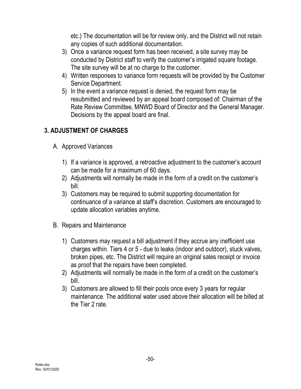etc.) The documentation will be for review only, and the District will not retain any copies of such additional documentation.

- 3) Once a variance request form has been received, a site survey may be conducted by District staff to verify the customer's irrigated square footage. The site survey will be at no charge to the customer.
- 4) Written responses to variance form requests will be provided by the Customer Service Department.
- 5) In the event a variance request is denied, the request form may be resubmitted and reviewed by an appeal board composed of: Chairman of the Rate Review Committee, MNWD Board of Director and the General Manager. Decisions by the appeal board are final.

## **3. ADJUSTMENT OF CHARGES**

- A. Approved Variances
	- 1) If a variance is approved, a retroactive adjustment to the customer's account can be made for a maximum of 60 days.
	- 2) Adjustments will normally be made in the form of a credit on the customer's bill.
	- 3) Customers may be required to submit supporting documentation for continuance of a variance at staff's discretion. Customers are encouraged to update allocation variables anytime.
- B. Repairs and Maintenance
	- 1) Customers may request a bill adjustment if they accrue any inefficient use charges within. Tiers 4 or 5 - due to leaks (indoor and outdoor), stuck valves, broken pipes, etc. The District will require an original sales receipt or invoice as proof that the repairs have been completed.
	- 2) Adjustments will normally be made in the form of a credit on the customer's bill.
	- 3) Customers are allowed to fill their pools once every 3 years for regular maintenance. The additional water used above their allocation will be billed at the Tier 2 rate.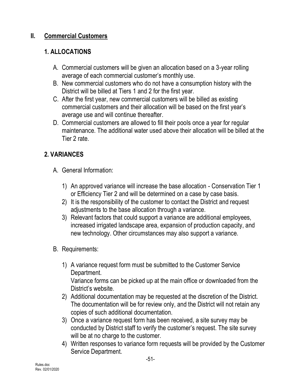## **II. Commercial Customers**

## **1. ALLOCATIONS**

- A. Commercial customers will be given an allocation based on a 3-year rolling average of each commercial customer's monthly use.
- B. New commercial customers who do not have a consumption history with the District will be billed at Tiers 1 and 2 for the first year.
- C. After the first year, new commercial customers will be billed as existing commercial customers and their allocation will be based on the first year's average use and will continue thereafter.
- D. Commercial customers are allowed to fill their pools once a year for regular maintenance. The additional water used above their allocation will be billed at the Tier 2 rate.

## **2. VARIANCES**

- A. General Information:
	- 1) An approved variance will increase the base allocation Conservation Tier 1 or Efficiency Tier 2 and will be determined on a case by case basis.
	- 2) It is the responsibility of the customer to contact the District and request adjustments to the base allocation through a variance.
	- 3) Relevant factors that could support a variance are additional employees, increased irrigated landscape area, expansion of production capacity, and new technology. Other circumstances may also support a variance.
- B. Requirements:
	- 1) A variance request form must be submitted to the Customer Service Department. Variance forms can be picked up at the main office or downloaded from the District's website.
	- 2) Additional documentation may be requested at the discretion of the District. The documentation will be for review only, and the District will not retain any copies of such additional documentation.
	- 3) Once a variance request form has been received, a site survey may be conducted by District staff to verify the customer's request. The site survey will be at no charge to the customer.
	- 4) Written responses to variance form requests will be provided by the Customer Service Department.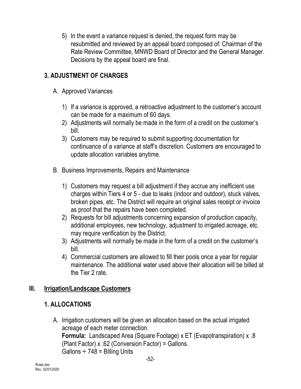5) In the event a variance request is denied, the request form may be resubmitted and reviewed by an appeal board composed of: Chairman of the Rate Review Committee, MNWD Board of Director and the General Manager. Decisions by the appeal board are final.

## **3. ADJUSTMENT OF CHARGES**

- A. Approved Variances
	- 1) If a variance is approved, a retroactive adjustment to the customer's account can be made for a maximum of 60 days.
	- 2) Adjustments will normally be made in the form of a credit on the customer's bill.
	- 3) Customers may be required to submit supporting documentation for continuance of a variance at staff's discretion. Customers are encouraged to update allocation variables anytime.
- B. Business Improvements, Repairs and Maintenance
	- 1) Customers may request a bill adjustment if they accrue any inefficient use charges within Tiers 4 or 5 - due to leaks (indoor and outdoor), stuck valves, broken pipes, etc. The District will require an original sales receipt or invoice as proof that the repairs have been completed.
	- 2) Requests for bill adjustments concerning expansion of production capacity, additional employees, new technology, adjustment to irrigated acreage, etc. may require verification by the District.
	- 3) Adjustments will normally be made in the form of a credit on the customer's bill.
	- 4) Commercial customers are allowed to fill their pools once a year for regular maintenance. The additional water used above their allocation will be billed at the Tier 2 rate.

## **III. Irrigation/Landscape Customers**

## **1. ALLOCATIONS**

A. Irrigation customers will be given an allocation based on the actual irrigated acreage of each meter connection. **Formula:** Landscaped Area (Square Footage) x ET (Evapotranspiration) x .8 (Plant Factor) x .62 (Conversion Factor) = Gallons. Gallons  $\div$  748 = Billing Units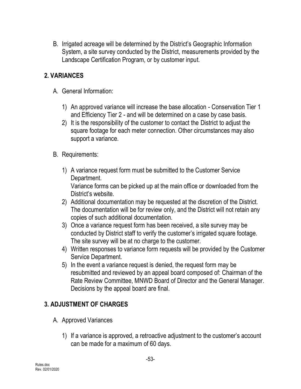B. Irrigated acreage will be determined by the District's Geographic Information System, a site survey conducted by the District, measurements provided by the Landscape Certification Program, or by customer input.

## **2. VARIANCES**

- A. General Information:
	- 1) An approved variance will increase the base allocation Conservation Tier 1 and Efficiency Tier 2 - and will be determined on a case by case basis.
	- 2) It is the responsibility of the customer to contact the District to adjust the square footage for each meter connection. Other circumstances may also support a variance.
- B. Requirements:
	- 1) A variance request form must be submitted to the Customer Service Department.

Variance forms can be picked up at the main office or downloaded from the District's website.

- 2) Additional documentation may be requested at the discretion of the District. The documentation will be for review only, and the District will not retain any copies of such additional documentation.
- 3) Once a variance request form has been received, a site survey may be conducted by District staff to verify the customer's irrigated square footage. The site survey will be at no charge to the customer.
- 4) Written responses to variance form requests will be provided by the Customer Service Department.
- 5) In the event a variance request is denied, the request form may be resubmitted and reviewed by an appeal board composed of: Chairman of the Rate Review Committee, MNWD Board of Director and the General Manager. Decisions by the appeal board are final.

## **3. ADJUSTMENT OF CHARGES**

- A. Approved Variances
	- 1) If a variance is approved, a retroactive adjustment to the customer's account can be made for a maximum of 60 days.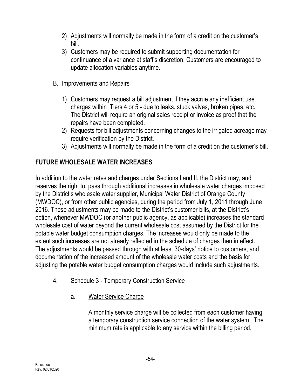- 2) Adjustments will normally be made in the form of a credit on the customer's bill.
- 3) Customers may be required to submit supporting documentation for continuance of a variance at staff's discretion. Customers are encouraged to update allocation variables anytime.
- B. Improvements and Repairs
	- 1) Customers may request a bill adjustment if they accrue any inefficient use charges within Tiers 4 or 5 - due to leaks, stuck valves, broken pipes, etc. The District will require an original sales receipt or invoice as proof that the repairs have been completed.
	- 2) Requests for bill adjustments concerning changes to the irrigated acreage may require verification by the District.
	- 3) Adjustments will normally be made in the form of a credit on the customer's bill.

## **FUTURE WHOLESALE WATER INCREASES**

In addition to the water rates and charges under Sections I and II, the District may, and reserves the right to, pass through additional increases in wholesale water charges imposed by the District's wholesale water supplier, Municipal Water District of Orange County (MWDOC), or from other public agencies, during the period from July 1, 2011 through June 2016. These adjustments may be made to the District's customer bills, at the District's option, whenever MWDOC (or another public agency, as applicable) increases the standard wholesale cost of water beyond the current wholesale cost assumed by the District for the potable water budget consumption charges. The increases would only be made to the extent such increases are not already reflected in the schedule of charges then in effect. The adjustments would be passed through with at least 30-days' notice to customers, and documentation of the increased amount of the wholesale water costs and the basis for adjusting the potable water budget consumption charges would include such adjustments.

- 4. Schedule 3 Temporary Construction Service
	- a. Water Service Charge

A monthly service charge will be collected from each customer having a temporary construction service connection of the water system. The minimum rate is applicable to any service within the billing period.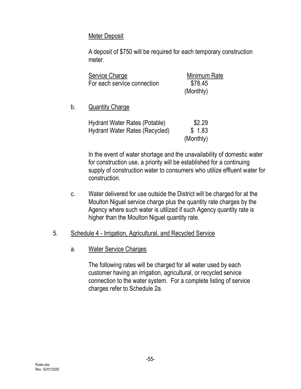#### Meter Deposit

A deposit of \$750 will be required for each temporary construction meter.

| Service Charge              | Minimum Rate |
|-----------------------------|--------------|
| For each service connection | \$78.45      |
|                             | (Monthly)    |

#### b. **Quantity Charge**

| Hydrant Water Rates (Potable)  | \$2.29    |
|--------------------------------|-----------|
| Hydrant Water Rates (Recycled) | \$1.83    |
|                                | (Monthly) |

In the event of water shortage and the unavailability of domestic water for construction use, a priority will be established for a continuing supply of construction water to consumers who utilize effluent water for construction.

c. Water delivered for use outside the District will be charged for at the Moulton Niguel service charge plus the quantity rate charges by the Agency where such water is utilized if such Agency quantity rate is higher than the Moulton Niguel quantity rate.

#### 5. Schedule 4 - Irrigation, Agricultural, and Recycled Service

#### a. Water Service Charges

The following rates will be charged for all water used by each customer having an irrigation, agricultural, or recycled service connection to the water system. For a complete listing of service charges refer to Schedule 2a.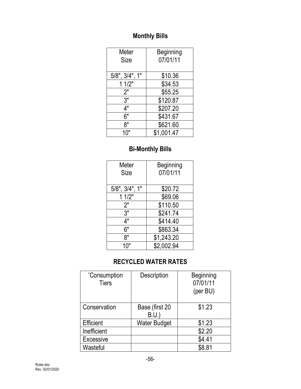# **Monthly Bills**

| Meter                | <b>Beginning</b> |
|----------------------|------------------|
| <b>Size</b>          | 07/01/11         |
|                      |                  |
| $5/8$ ", $3/4$ ", 1" | \$10.36          |
| 11/2"                | \$34.53          |
| 2"                   | \$55.25          |
| 3"                   | \$120.87         |
| 4"                   | \$207.20         |
| 6"                   | \$431.67         |
| 8"                   | \$621.60         |
| 10"                  | \$1,001.47       |

# **Bi-Monthly Bills**

| Meter                | Beginning  |
|----------------------|------------|
| <b>Size</b>          | 07/01/11   |
|                      |            |
| $5/8$ ", $3/4$ ", 1" | \$20.72    |
| 11/2"                | \$69.06    |
| 2"                   | \$110.50   |
| 3"                   | \$241.74   |
| 4"                   | \$414.40   |
| 6"                   | \$863.34   |
| 8"                   | \$1,243.20 |
| 10"                  | \$2,002.94 |

# **RECYCLED WATER RATES**

| Description            | <b>Beginning</b><br>07/01/11<br>(per BU) |
|------------------------|------------------------------------------|
| Base (first 20<br>B.U. | \$1.23                                   |
| <b>Water Budget</b>    | \$1.23                                   |
|                        | \$2.20                                   |
|                        | \$4.41                                   |
|                        | \$8.81                                   |
|                        |                                          |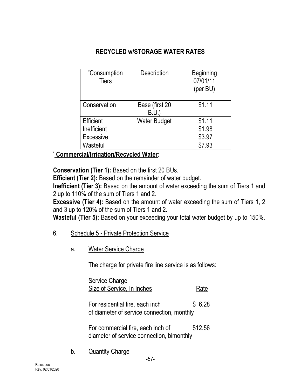## **RECYCLED w/STORAGE WATER RATES**

| <i>*Consumption</i><br><b>Tiers</b> | Description            | <b>Beginning</b><br>07/01/11<br>(per BU) |
|-------------------------------------|------------------------|------------------------------------------|
| Conservation                        | Base (first 20<br>B.U. | \$1.11                                   |
| Efficient                           | <b>Water Budget</b>    | \$1.11                                   |
| Inefficient                         |                        | \$1.98                                   |
| Excessive                           |                        | \$3.97                                   |
| Wasteful                            |                        | \$7.93                                   |

## \* **Commercial/Irrigation/Recycled Water:**

**Conservation (Tier 1):** Based on the first 20 BUs.

**Efficient (Tier 2):** Based on the remainder of water budget.

**Inefficient (Tier 3):** Based on the amount of water exceeding the sum of Tiers 1 and 2 up to 110% of the sum of Tiers 1 and 2.

**Excessive (Tier 4):** Based on the amount of water exceeding the sum of Tiers 1, 2 and 3 up to 120% of the sum of Tiers 1 and 2.

**Wasteful (Tier 5):** Based on your exceeding your total water budget by up to 150%.

#### 6. Schedule 5 - Private Protection Service

a. Water Service Charge

The charge for private fire line service is as follows:

Service Charge Size of Service, In Inches Rate

For residential fire, each inch  $$6.28$ of diameter of service connection, monthly

For commercial fire, each inch of \$12.56 diameter of service connection, bimonthly

b. Quantity Charge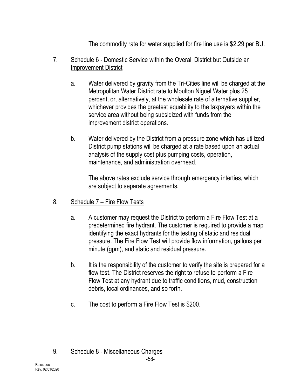The commodity rate for water supplied for fire line use is \$2.29 per BU.

#### 7. Schedule 6 - Domestic Service within the Overall District but Outside an Improvement District

- a. Water delivered by gravity from the Tri-Cities line will be charged at the Metropolitan Water District rate to Moulton Niguel Water plus 25 percent, or, alternatively, at the wholesale rate of alternative supplier, whichever provides the greatest equability to the taxpayers within the service area without being subsidized with funds from the improvement district operations.
- b. Water delivered by the District from a pressure zone which has utilized District pump stations will be charged at a rate based upon an actual analysis of the supply cost plus pumping costs, operation, maintenance, and administration overhead.

The above rates exclude service through emergency interties, which are subject to separate agreements.

- 8. Schedule 7 Fire Flow Tests
	- a. A customer may request the District to perform a Fire Flow Test at a predetermined fire hydrant. The customer is required to provide a map identifying the exact hydrants for the testing of static and residual pressure. The Fire Flow Test will provide flow information, gallons per minute (gpm), and static and residual pressure.
	- b. It is the responsibility of the customer to verify the site is prepared for a flow test. The District reserves the right to refuse to perform a Fire Flow Test at any hydrant due to traffic conditions, mud, construction debris, local ordinances, and so forth.
	- c. The cost to perform a Fire Flow Test is \$200.

#### 9. Schedule 8 - Miscellaneous Charges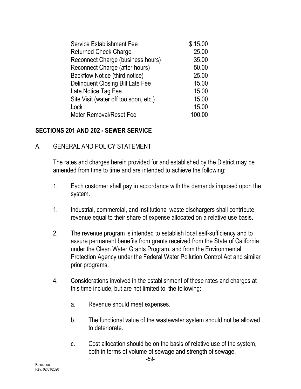| <b>Service Establishment Fee</b>        | \$15.00 |
|-----------------------------------------|---------|
| <b>Returned Check Charge</b>            | 25.00   |
| Reconnect Charge (business hours)       | 35.00   |
| Reconnect Charge (after hours)          | 50.00   |
| Backflow Notice (third notice)          | 25.00   |
| <b>Delinquent Closing Bill Late Fee</b> | 15.00   |
| Late Notice Tag Fee                     | 15.00   |
| Site Visit (water off too soon, etc.)   | 15.00   |
| Lock                                    | 15.00   |
| <b>Meter Removal/Reset Fee</b>          | 100.00  |

#### **SECTIONS 201 AND 202 - SEWER SERVICE**

#### A. GENERAL AND POLICY STATEMENT

The rates and charges herein provided for and established by the District may be amended from time to time and are intended to achieve the following:

- 1. Each customer shall pay in accordance with the demands imposed upon the system.
- 1. Industrial, commercial, and institutional waste dischargers shall contribute revenue equal to their share of expense allocated on a relative use basis.
- 2. The revenue program is intended to establish local self-sufficiency and to assure permanent benefits from grants received from the State of California under the Clean Water Grants Program, and from the Environmental Protection Agency under the Federal Water Pollution Control Act and similar prior programs.
- 4. Considerations involved in the establishment of these rates and charges at this time include, but are not limited to, the following:
	- a. Revenue should meet expenses.
	- b. The functional value of the wastewater system should not be allowed to deteriorate.
	- c. Cost allocation should be on the basis of relative use of the system, both in terms of volume of sewage and strength of sewage.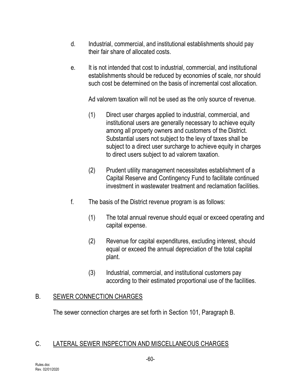- d. Industrial, commercial, and institutional establishments should pay their fair share of allocated costs.
- e. It is not intended that cost to industrial, commercial, and institutional establishments should be reduced by economies of scale, nor should such cost be determined on the basis of incremental cost allocation.

Ad valorem taxation will not be used as the only source of revenue.

- (1) Direct user charges applied to industrial, commercial, and institutional users are generally necessary to achieve equity among all property owners and customers of the District. Substantial users not subject to the levy of taxes shall be subject to a direct user surcharge to achieve equity in charges to direct users subject to ad valorem taxation.
- (2) Prudent utility management necessitates establishment of a Capital Reserve and Contingency Fund to facilitate continued investment in wastewater treatment and reclamation facilities.
- f. The basis of the District revenue program is as follows:
	- (1) The total annual revenue should equal or exceed operating and capital expense.
	- (2) Revenue for capital expenditures, excluding interest, should equal or exceed the annual depreciation of the total capital plant.
	- (3) Industrial, commercial, and institutional customers pay according to their estimated proportional use of the facilities.

#### B. SEWER CONNECTION CHARGES

The sewer connection charges are set forth in Section 101, Paragraph B.

#### C. LATERAL SEWER INSPECTION AND MISCELLANEOUS CHARGES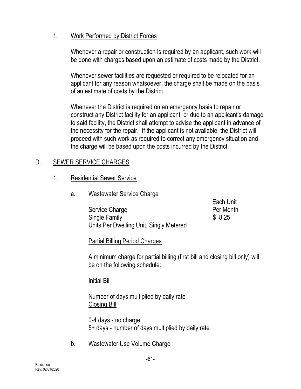#### 1. Work Performed by District Forces

Whenever a repair or construction is required by an applicant, such work will be done with charges based upon an estimate of costs made by the District.

Whenever sewer facilities are requested or required to be relocated for an applicant for any reason whatsoever, the charge shall be made on the basis of an estimate of costs by the District.

Whenever the District is required on an emergency basis to repair or construct any District facility for an applicant, or due to an applicant's damage to said facility, the District shall attempt to advise the applicant in advance of the necessity for the repair. If the applicant is not available, the District will proceed with such work as required to correct any emergency situation and the charge will be based upon the costs incurred by the District.

## D. SEWER SERVICE CHARGES

- 1. Residential Sewer Service
	- a. Wastewater Service Charge

Service Charge **Per Month** Single Family \$ 8.25 Units Per Dwelling Unit, Singly Metered

Each Unit

Partial Billing Period Charges

A minimum charge for partial billing (first bill and closing bill only) will be on the following schedule:

Initial Bill

Number of days multiplied by daily rate Closing Bill

0-4 days - no charge 5+ days - number of days multiplied by daily rate

b. Wastewater Use Volume Charge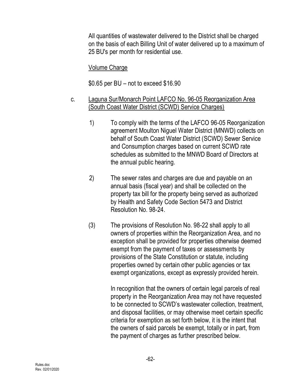All quantities of wastewater delivered to the District shall be charged on the basis of each Billing Unit of water delivered up to a maximum of 25 BU's per month for residential use.

#### Volume Charge

\$0.65 per BU – not to exceed \$16.90

- c. Laguna Sur/Monarch Point LAFCO No. 96-05 Reorganization Area (South Coast Water District (SCWD) Service Charges)
	- 1) To comply with the terms of the LAFCO 96-05 Reorganization agreement Moulton Niguel Water District (MNWD) collects on behalf of South Coast Water District (SCWD) Sewer Service and Consumption charges based on current SCWD rate schedules as submitted to the MNWD Board of Directors at the annual public hearing.
	- 2) The sewer rates and charges are due and payable on an annual basis (fiscal year) and shall be collected on the property tax bill for the property being served as authorized by Health and Safety Code Section 5473 and District Resolution No. 98-24.
	- (3) The provisions of Resolution No. 98-22 shall apply to all owners of properties within the Reorganization Area, and no exception shall be provided for properties otherwise deemed exempt from the payment of taxes or assessments by provisions of the State Constitution or statute, including properties owned by certain other public agencies or tax exempt organizations, except as expressly provided herein.

In recognition that the owners of certain legal parcels of real property in the Reorganization Area may not have requested to be connected to SCWD's wastewater collection, treatment, and disposal facilities, or may otherwise meet certain specific criteria for exemption as set forth below, it is the intent that the owners of said parcels be exempt, totally or in part, from the payment of charges as further prescribed below.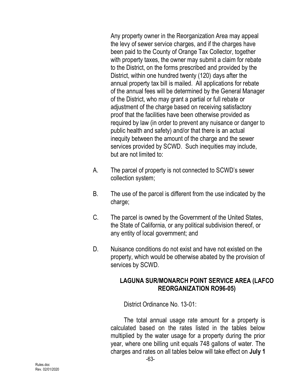Any property owner in the Reorganization Area may appeal the levy of sewer service charges, and if the charges have been paid to the County of Orange Tax Collector, together with property taxes, the owner may submit a claim for rebate to the District, on the forms prescribed and provided by the District, within one hundred twenty (120) days after the annual property tax bill is mailed. All applications for rebate of the annual fees will be determined by the General Manager of the District, who may grant a partial or full rebate or adjustment of the charge based on receiving satisfactory proof that the facilities have been otherwise provided as required by law (in order to prevent any nuisance or danger to public health and safety) and/or that there is an actual inequity between the amount of the charge and the sewer services provided by SCWD. Such inequities may include, but are not limited to:

- A. The parcel of property is not connected to SCWD's sewer collection system;
- B. The use of the parcel is different from the use indicated by the charge;
- C. The parcel is owned by the Government of the United States, the State of California, or any political subdivision thereof, or any entity of local government; and
- D. Nuisance conditions do not exist and have not existed on the property, which would be otherwise abated by the provision of services by SCWD.

#### **LAGUNA SUR/MONARCH POINT SERVICE AREA (LAFCO REORGANIZATION RO96-05)**

District Ordinance No. 13-01:

The total annual usage rate amount for a property is calculated based on the rates listed in the tables below multiplied by the water usage for a property during the prior year, where one billing unit equals 748 gallons of water. The charges and rates on all tables below will take effect on **July 1**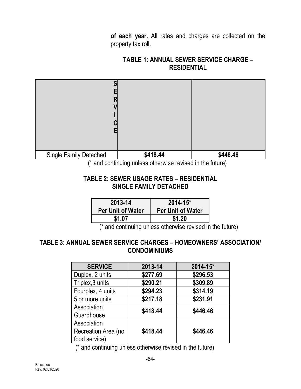**of each year**. All rates and charges are collected on the property tax roll.

#### **TABLE 1: ANNUAL SEWER SERVICE CHARGE – RESIDENTIAL**



(\* and continuing unless otherwise revised in the future)

#### **TABLE 2: SEWER USAGE RATES – RESIDENTIAL SINGLE FAMILY DETACHED**

| 2013-14                  | $2014 - 15$ *            |
|--------------------------|--------------------------|
| <b>Per Unit of Water</b> | <b>Per Unit of Water</b> |
| \$1.07                   | \$1.20                   |

(\* and continuing unless otherwise revised in the future)

#### **TABLE 3: ANNUAL SEWER SERVICE CHARGES – HOMEOWNERS' ASSOCIATION/ CONDOMINIUMS**

| <b>SERVICE</b>      | 2013-14  | $2014 - 15*$ |
|---------------------|----------|--------------|
| Duplex, 2 units     | \$277.69 | \$296.53     |
| Triplex, 3 units    | \$290.21 | \$309.89     |
| Fourplex, 4 units   | \$294.23 | \$314.19     |
| 5 or more units     | \$217.18 | \$231.91     |
| Association         | \$418.44 | \$446.46     |
| Guardhouse          |          |              |
| Association         |          |              |
| Recreation Area (no | \$418.44 | \$446.46     |
| food service)       |          |              |

(\* and continuing unless otherwise revised in the future)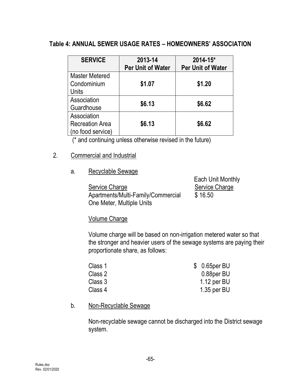#### **Table 4: ANNUAL SEWER USAGE RATES – HOMEOWNERS' ASSOCIATION**

| <b>SERVICE</b>                                             | 2013-14<br><b>Per Unit of Water</b> | 2014-15*<br><b>Per Unit of Water</b> |
|------------------------------------------------------------|-------------------------------------|--------------------------------------|
| <b>Master Metered</b><br>Condominium<br>Units              | \$1.07                              | \$1.20                               |
| Association<br>Guardhouse                                  | \$6.13                              | \$6.62                               |
| Association<br><b>Recreation Area</b><br>(no food service) | \$6.13                              | \$6.62                               |

(\* and continuing unless otherwise revised in the future)

#### 2. Commercial and Industrial

a. Recyclable Sewage

Service Charge Service Charge Apartments/Multi-Family/Commercial \$16.50 One Meter, Multiple Units

Each Unit Monthly

#### Volume Charge

Volume charge will be based on non-irrigation metered water so that the stronger and heavier users of the sewage systems are paying their proportionate share, as follows:

| $$0.65$ per BU |
|----------------|
| 0.88per BU     |
| 1.12 per $BU$  |
| $1.35$ per BU  |
|                |

#### b. Non-Recyclable Sewage

Non-recyclable sewage cannot be discharged into the District sewage system.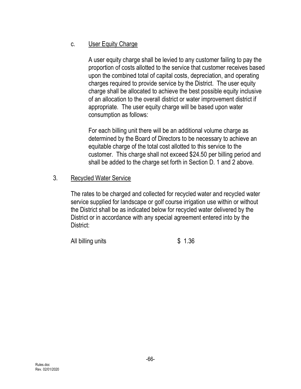### c. User Equity Charge

A user equity charge shall be levied to any customer failing to pay the proportion of costs allotted to the service that customer receives based upon the combined total of capital costs, depreciation, and operating charges required to provide service by the District. The user equity charge shall be allocated to achieve the best possible equity inclusive of an allocation to the overall district or water improvement district if appropriate. The user equity charge will be based upon water consumption as follows:

For each billing unit there will be an additional volume charge as determined by the Board of Directors to be necessary to achieve an equitable charge of the total cost allotted to this service to the customer. This charge shall not exceed \$24.50 per billing period and shall be added to the charge set forth in Section D. 1 and 2 above.

#### 3. Recycled Water Service

The rates to be charged and collected for recycled water and recycled water service supplied for landscape or golf course irrigation use within or without the District shall be as indicated below for recycled water delivered by the District or in accordance with any special agreement entered into by the District:

All billing units \$ 1.36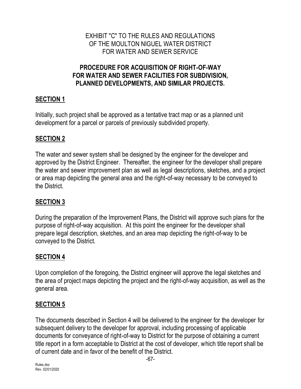#### EXHIBIT "C" TO THE RULES AND REGULATIONS OF THE MOULTON NIGUEL WATER DISTRICT FOR WATER AND SEWER SERVICE

#### **PROCEDURE FOR ACQUISITION OF RIGHT-OF-WAY FOR WATER AND SEWER FACILITIES FOR SUBDIVISION, PLANNED DEVELOPMENTS, AND SIMILAR PROJECTS.**

## **SECTION 1**

Initially, such project shall be approved as a tentative tract map or as a planned unit development for a parcel or parcels of previously subdivided property.

## **SECTION 2**

The water and sewer system shall be designed by the engineer for the developer and approved by the District Engineer. Thereafter, the engineer for the developer shall prepare the water and sewer improvement plan as well as legal descriptions, sketches, and a project or area map depicting the general area and the right-of-way necessary to be conveyed to the District.

## **SECTION 3**

During the preparation of the Improvement Plans, the District will approve such plans for the purpose of right-of-way acquisition. At this point the engineer for the developer shall prepare legal description, sketches, and an area map depicting the right-of-way to be conveyed to the District.

## **SECTION 4**

Upon completion of the foregoing, the District engineer will approve the legal sketches and the area of project maps depicting the project and the right-of-way acquisition, as well as the general area.

## **SECTION 5**

The documents described in Section 4 will be delivered to the engineer for the developer for subsequent delivery to the developer for approval, including processing of applicable documents for conveyance of right-of-way to District for the purpose of obtaining a current title report in a form acceptable to District at the cost of developer, which title report shall be of current date and in favor of the benefit of the District.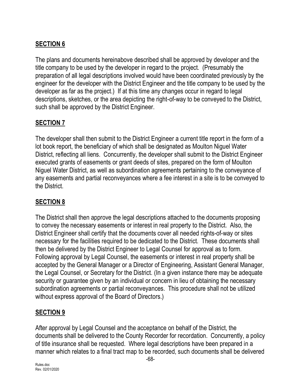## **SECTION 6**

The plans and documents hereinabove described shall be approved by developer and the title company to be used by the developer in regard to the project. (Presumably the preparation of all legal descriptions involved would have been coordinated previously by the engineer for the developer with the District Engineer and the title company to be used by the developer as far as the project.) If at this time any changes occur in regard to legal descriptions, sketches, or the area depicting the right-of-way to be conveyed to the District, such shall be approved by the District Engineer.

## **SECTION 7**

The developer shall then submit to the District Engineer a current title report in the form of a lot book report, the beneficiary of which shall be designated as Moulton Niguel Water District, reflecting all liens. Concurrently, the developer shall submit to the District Engineer executed grants of easements or grant deeds of sites, prepared on the form of Moulton Niguel Water District, as well as subordination agreements pertaining to the conveyance of any easements and partial reconveyances where a fee interest in a site is to be conveyed to the District.

## **SECTION 8**

The District shall then approve the legal descriptions attached to the documents proposing to convey the necessary easements or interest in real property to the District. Also, the District Engineer shall certify that the documents cover all needed rights-of-way or sites necessary for the facilities required to be dedicated to the District. These documents shall then be delivered by the District Engineer to Legal Counsel for approval as to form. Following approval by Legal Counsel, the easements or interest in real property shall be accepted by the General Manager or a Director of Engineering, Assistant General Manager, the Legal Counsel, or Secretary for the District. (In a given instance there may be adequate security or guarantee given by an individual or concern in lieu of obtaining the necessary subordination agreements or partial reconveyances. This procedure shall not be utilized without express approval of the Board of Directors.)

## **SECTION 9**

After approval by Legal Counsel and the acceptance on behalf of the District, the documents shall be delivered to the County Recorder for recordation. Concurrently, a policy of title insurance shall be requested. Where legal descriptions have been prepared in a manner which relates to a final tract map to be recorded, such documents shall be delivered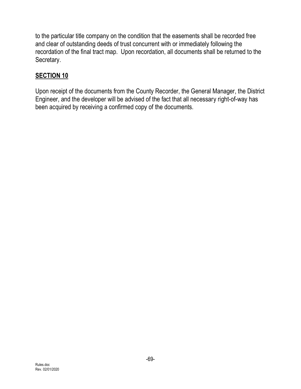to the particular title company on the condition that the easements shall be recorded free and clear of outstanding deeds of trust concurrent with or immediately following the recordation of the final tract map. Upon recordation, all documents shall be returned to the Secretary.

## **SECTION 10**

Upon receipt of the documents from the County Recorder, the General Manager, the District Engineer, and the developer will be advised of the fact that all necessary right-of-way has been acquired by receiving a confirmed copy of the documents.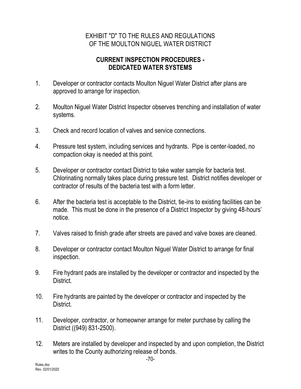#### EXHIBIT "D" TO THE RULES AND REGULATIONS OF THE MOULTON NIGUEL WATER DISTRICT

#### **CURRENT INSPECTION PROCEDURES - DEDICATED WATER SYSTEMS**

- 1. Developer or contractor contacts Moulton Niguel Water District after plans are approved to arrange for inspection.
- 2. Moulton Niguel Water District Inspector observes trenching and installation of water systems.
- 3. Check and record location of valves and service connections.
- 4. Pressure test system, including services and hydrants. Pipe is center-loaded, no compaction okay is needed at this point.
- 5. Developer or contractor contact District to take water sample for bacteria test. Chlorinating normally takes place during pressure test. District notifies developer or contractor of results of the bacteria test with a form letter.
- 6. After the bacteria test is acceptable to the District, tie-ins to existing facilities can be made. This must be done in the presence of a District Inspector by giving 48-hours' notice.
- 7. Valves raised to finish grade after streets are paved and valve boxes are cleaned.
- 8. Developer or contractor contact Moulton Niguel Water District to arrange for final inspection.
- 9. Fire hydrant pads are installed by the developer or contractor and inspected by the District.
- 10. Fire hydrants are painted by the developer or contractor and inspected by the District.
- 11. Developer, contractor, or homeowner arrange for meter purchase by calling the District ((949) 831-2500).
- 12. Meters are installed by developer and inspected by and upon completion, the District writes to the County authorizing release of bonds.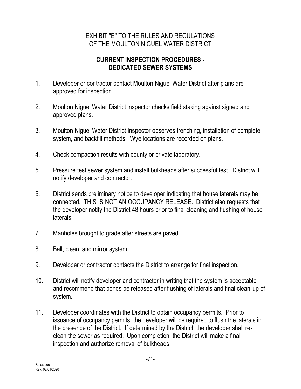#### EXHIBIT "E" TO THE RULES AND REGULATIONS OF THE MOULTON NIGUEL WATER DISTRICT

#### **CURRENT INSPECTION PROCEDURES - DEDICATED SEWER SYSTEMS**

- 1. Developer or contractor contact Moulton Niguel Water District after plans are approved for inspection.
- 2. Moulton Niguel Water District inspector checks field staking against signed and approved plans.
- 3. Moulton Niguel Water District Inspector observes trenching, installation of complete system, and backfill methods. Wye locations are recorded on plans.
- 4. Check compaction results with county or private laboratory.
- 5. Pressure test sewer system and install bulkheads after successful test. District will notify developer and contractor.
- 6. District sends preliminary notice to developer indicating that house laterals may be connected. THIS IS NOT AN OCCUPANCY RELEASE. District also requests that the developer notify the District 48 hours prior to final cleaning and flushing of house laterals.
- 7. Manholes brought to grade after streets are paved.
- 8. Ball, clean, and mirror system.
- 9. Developer or contractor contacts the District to arrange for final inspection.
- 10. District will notify developer and contractor in writing that the system is acceptable and recommend that bonds be released after flushing of laterals and final clean-up of system.
- 11. Developer coordinates with the District to obtain occupancy permits. Prior to issuance of occupancy permits, the developer will be required to flush the laterals in the presence of the District. If determined by the District, the developer shall reclean the sewer as required. Upon completion, the District will make a final inspection and authorize removal of bulkheads.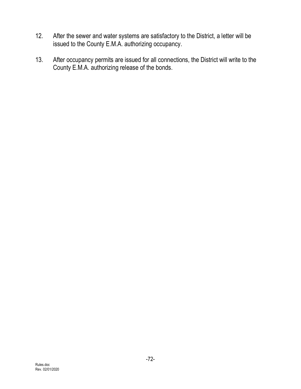- 12. After the sewer and water systems are satisfactory to the District, a letter will be issued to the County E.M.A. authorizing occupancy.
- 13. After occupancy permits are issued for all connections, the District will write to the County E.M.A. authorizing release of the bonds.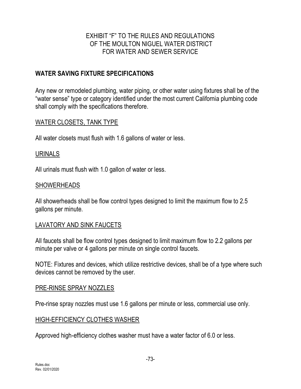### EXHIBIT "F" TO THE RULES AND REGULATIONS OF THE MOULTON NIGUEL WATER DISTRICT FOR WATER AND SEWER SERVICE

### **WATER SAVING FIXTURE SPECIFICATIONS**

Any new or remodeled plumbing, water piping, or other water using fixtures shall be of the "water sense" type or category identified under the most current California plumbing code shall comply with the specifications therefore.

#### WATER CLOSETS, TANK TYPE

All water closets must flush with 1.6 gallons of water or less.

#### URINALS

All urinals must flush with 1.0 gallon of water or less.

#### SHOWERHEADS

All showerheads shall be flow control types designed to limit the maximum flow to 2.5 gallons per minute.

#### LAVATORY AND SINK FAUCETS

All faucets shall be flow control types designed to limit maximum flow to 2.2 gallons per minute per valve or 4 gallons per minute on single control faucets.

NOTE: Fixtures and devices, which utilize restrictive devices, shall be of a type where such devices cannot be removed by the user.

#### PRE-RINSE SPRAY NOZZLES

Pre-rinse spray nozzles must use 1.6 gallons per minute or less, commercial use only.

#### HIGH-EFFICIENCY CLOTHES WASHER

Approved high-efficiency clothes washer must have a water factor of 6.0 or less.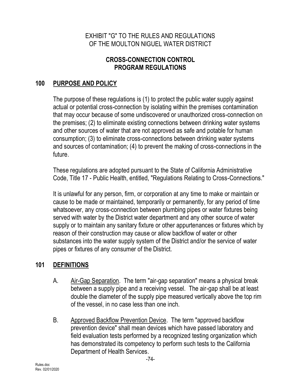### EXHIBIT "G" TO THE RULES AND REGULATIONS OF THE MOULTON NIGUEL WATER DISTRICT

### **CROSS-CONNECTION CONTROL PROGRAM REGULATIONS**

## **100 PURPOSE AND POLICY**

The purpose of these regulations is (1) to protect the public water supply against actual or potential cross-connection by isolating within the premises contamination that may occur because of some undiscovered or unauthorized cross-connection on the premises; (2) to eliminate existing connections between drinking water systems and other sources of water that are not approved as safe and potable for human consumption; (3) to eliminate cross-connections between drinking water systems and sources of contamination; (4) to prevent the making of cross-connections in the future.

These regulations are adopted pursuant to the State of California Administrative Code, Title 17 - Public Health, entitled, "Regulations Relating to Cross-Connections."

It is unlawful for any person, firm, or corporation at any time to make or maintain or cause to be made or maintained, temporarily or permanently, for any period of time whatsoever, any cross-connection between plumbing pipes or water fixtures being served with water by the District water department and any other source of water supply or to maintain any sanitary fixture or other appurtenances or fixtures which by reason of their construction may cause or allow backflow of water or other substances into the water supply system of the District and/or the service of water pipes or fixtures of any consumer of the District.

### **101 DEFINITIONS**

- A. Air-Gap Separation. The term "air-gap separation" means a physical break between a supply pipe and a receiving vessel. The air-gap shall be at least double the diameter of the supply pipe measured vertically above the top rim of the vessel, in no case less than one inch.
- B. Approved Backflow Prevention Device. The term "approved backflow prevention device" shall mean devices which have passed laboratory and field evaluation tests performed by a recognized testing organization which has demonstrated its competency to perform such tests to the California Department of Health Services.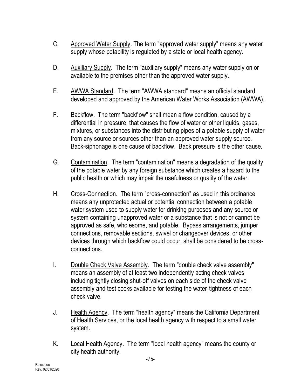- C. Approved Water Supply. The term "approved water supply" means any water supply whose potability is regulated by a state or local health agency.
- D. Auxiliary Supply. The term "auxiliary supply" means any water supply on or available to the premises other than the approved water supply.
- E. AWWA Standard. The term "AWWA standard" means an official standard developed and approved by the American Water Works Association (AWWA).
- F. Backflow. The term "backflow" shall mean a flow condition, caused by a differential in pressure, that causes the flow of water or other liquids, gases, mixtures, or substances into the distributing pipes of a potable supply of water from any source or sources other than an approved water supply source. Back-siphonage is one cause of backflow. Back pressure is the other cause.
- G. Contamination. The term "contamination" means a degradation of the quality of the potable water by any foreign substance which creates a hazard to the public health or which may impair the usefulness or quality of the water.
- H. Cross-Connection. The term "cross-connection" as used in this ordinance means any unprotected actual or potential connection between a potable water system used to supply water for drinking purposes and any source or system containing unapproved water or a substance that is not or cannot be approved as safe, wholesome, and potable. Bypass arrangements, jumper connections, removable sections, swivel or changeover devices, or other devices through which backflow could occur, shall be considered to be crossconnections.
- I. Double Check Valve Assembly. The term "double check valve assembly" means an assembly of at least two independently acting check valves including tightly closing shut-off valves on each side of the check valve assembly and test cocks available for testing the water-tightness of each check valve.
- J. Health Agency. The term "health agency" means the California Department of Health Services, or the local health agency with respect to a small water system.
- K. Local Health Agency. The term "local health agency" means the county or city health authority.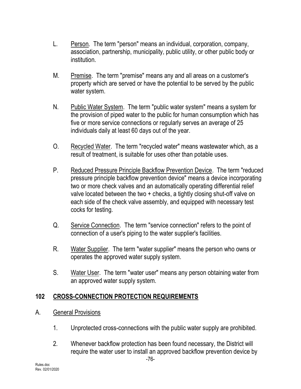- L. Person. The term "person" means an individual, corporation, company, association, partnership, municipality, public utility, or other public body or institution.
- M. Premise. The term "premise" means any and all areas on a customer's property which are served or have the potential to be served by the public water system.
- N. Public Water System. The term "public water system" means a system for the provision of piped water to the public for human consumption which has five or more service connections or regularly serves an average of 25 individuals daily at least 60 days out of the year.
- O. Recycled Water. The term "recycled water" means wastewater which, as a result of treatment, is suitable for uses other than potable uses.
- P. Reduced Pressure Principle Backflow Prevention Device. The term "reduced pressure principle backflow prevention device" means a device incorporating two or more check valves and an automatically operating differential relief valve located between the two + checks, a tightly closing shut-off valve on each side of the check valve assembly, and equipped with necessary test cocks for testing.
- Q. Service Connection. The term "service connection" refers to the point of connection of a user's piping to the water supplier's facilities.
- R. Water Supplier. The term "water supplier" means the person who owns or operates the approved water supply system.
- S. Water User. The term "water user" means any person obtaining water from an approved water supply system.

## **102 CROSS-CONNECTION PROTECTION REQUIREMENTS**

- A. General Provisions
	- 1. Unprotected cross-connections with the public water supply are prohibited.
	- 2. Whenever backflow protection has been found necessary, the District will require the water user to install an approved backflow prevention device by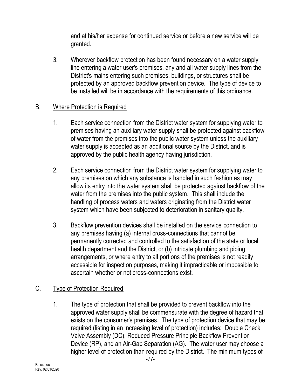and at his/her expense for continued service or before a new service will be granted.

3. Wherever backflow protection has been found necessary on a water supply line entering a water user's premises, any and all water supply lines from the District's mains entering such premises, buildings, or structures shall be protected by an approved backflow prevention device. The type of device to be installed will be in accordance with the requirements of this ordinance.

### B. Where Protection is Required

- 1. Each service connection from the District water system for supplying water to premises having an auxiliary water supply shall be protected against backflow of water from the premises into the public water system unless the auxiliary water supply is accepted as an additional source by the District, and is approved by the public health agency having jurisdiction.
- 2. Each service connection from the District water system for supplying water to any premises on which any substance is handled in such fashion as may allow its entry into the water system shall be protected against backflow of the water from the premises into the public system. This shall include the handling of process waters and waters originating from the District water system which have been subjected to deterioration in sanitary quality.
- 3. Backflow prevention devices shall be installed on the service connection to any premises having (a) internal cross-connections that cannot be permanently corrected and controlled to the satisfaction of the state or local health department and the District, or (b) intricate plumbing and piping arrangements, or where entry to all portions of the premises is not readily accessible for inspection purposes, making it impracticable or impossible to ascertain whether or not cross-connections exist.

### C. Type of Protection Required

1. The type of protection that shall be provided to prevent backflow into the approved water supply shall be commensurate with the degree of hazard that exists on the consumer's premises. The type of protection device that may be required (listing in an increasing level of protection) includes: Double Check Valve Assembly (DC), Reduced Pressure Principle Backflow Prevention Device (RP), and an Air-Gap Separation (AG). The water user may choose a higher level of protection than required by the District. The minimum types of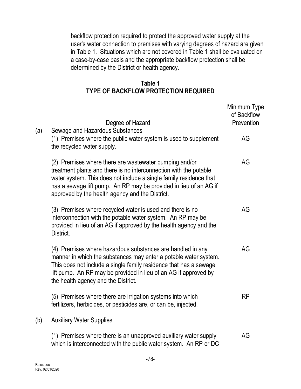backflow protection required to protect the approved water supply at the user's water connection to premises with varying degrees of hazard are given in Table 1. Situations which are not covered in Table 1 shall be evaluated on a case-by-case basis and the appropriate backflow protection shall be determined by the District or health agency.

### **Table 1 TYPE OF BACKFLOW PROTECTION REQUIRED**

|     | Degree of Hazard                                                                                                                                                                                                                                                                                                          | Minimum Type<br>of Backflow<br>Prevention |
|-----|---------------------------------------------------------------------------------------------------------------------------------------------------------------------------------------------------------------------------------------------------------------------------------------------------------------------------|-------------------------------------------|
| (a) | Sewage and Hazardous Substances<br>(1) Premises where the public water system is used to supplement<br>the recycled water supply.                                                                                                                                                                                         | AG                                        |
|     | (2) Premises where there are wastewater pumping and/or<br>treatment plants and there is no interconnection with the potable<br>water system. This does not include a single family residence that<br>has a sewage lift pump. An RP may be provided in lieu of an AG if<br>approved by the health agency and the District. | AG                                        |
|     | (3) Premises where recycled water is used and there is no<br>interconnection with the potable water system. An RP may be<br>provided in lieu of an AG if approved by the health agency and the<br>District.                                                                                                               | AG                                        |
|     | (4) Premises where hazardous substances are handled in any<br>manner in which the substances may enter a potable water system.<br>This does not include a single family residence that has a sewage<br>lift pump. An RP may be provided in lieu of an AG if approved by<br>the health agency and the District.            | AG                                        |
|     | (5) Premises where there are irrigation systems into which<br>fertilizers, herbicides, or pesticides are, or can be, injected.                                                                                                                                                                                            | RP                                        |
| (b) | <b>Auxiliary Water Supplies</b>                                                                                                                                                                                                                                                                                           |                                           |
|     | (1) Premises where there is an unapproved auxiliary water supply<br>which is interconnected with the public water system. An RP or DC                                                                                                                                                                                     | AG                                        |

Rules.doc Rev. 02/01/2020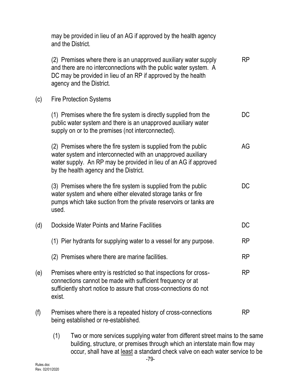|     | may be provided in lieu of an AG if approved by the health agency<br>and the District.                                                                                                                                                       |           |
|-----|----------------------------------------------------------------------------------------------------------------------------------------------------------------------------------------------------------------------------------------------|-----------|
|     | (2) Premises where there is an unapproved auxiliary water supply<br>and there are no interconnections with the public water system. A<br>DC may be provided in lieu of an RP if approved by the health<br>agency and the District.           | <b>RP</b> |
| (c) | <b>Fire Protection Systems</b>                                                                                                                                                                                                               |           |
|     | (1) Premises where the fire system is directly supplied from the<br>public water system and there is an unapproved auxiliary water<br>supply on or to the premises (not interconnected).                                                     | DC        |
|     | (2) Premises where the fire system is supplied from the public<br>water system and interconnected with an unapproved auxiliary<br>water supply. An RP may be provided in lieu of an AG if approved<br>by the health agency and the District. | AG        |
|     | (3) Premises where the fire system is supplied from the public<br>water system and where either elevated storage tanks or fire<br>pumps which take suction from the private reservoirs or tanks are<br>used.                                 | <b>DC</b> |
| (d) | Dockside Water Points and Marine Facilities                                                                                                                                                                                                  | DC        |
|     | (1) Pier hydrants for supplying water to a vessel for any purpose.                                                                                                                                                                           | <b>RP</b> |
|     | (2) Premises where there are marine facilities.                                                                                                                                                                                              | <b>RP</b> |
| (e) | Premises where entry is restricted so that inspections for cross-<br>connections cannot be made with sufficient frequency or at<br>sufficiently short notice to assure that cross-connections do not<br>exist.                               | <b>RP</b> |
| (f) | Premises where there is a repeated history of cross-connections<br>being established or re-established.                                                                                                                                      | <b>RP</b> |

(1) Two or more services supplying water from different street mains to the same building, structure, or premises through which an interstate main flow may occur, shall have at least a standard check valve on each water service to be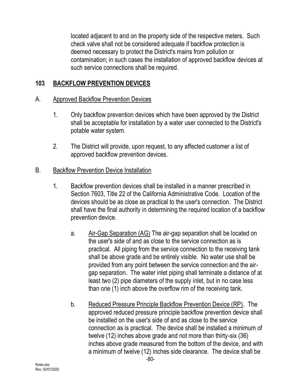located adjacent to and on the property side of the respective meters. Such check valve shall not be considered adequate if backflow protection is deemed necessary to protect the District's mains from pollution or contamination; in such cases the installation of approved backflow devices at such service connections shall be required.

## **103 BACKFLOW PREVENTION DEVICES**

### A. Approved Backflow Prevention Devices

- 1. Only backflow prevention devices which have been approved by the District shall be acceptable for installation by a water user connected to the District's potable water system.
- 2. The District will provide, upon request, to any affected customer a list of approved backflow prevention devices.

### B. Backflow Prevention Device Installation

- 1. Backflow prevention devices shall be installed in a manner prescribed in Section 7603, Title 22 of the California Administrative Code. Location of the devices should be as close as practical to the user's connection. The District shall have the final authority in determining the required location of a backflow prevention device.
	- a. Air-Gap Separation (AG) The air-gap separation shall be located on the user's side of and as close to the service connection as is practical. All piping from the service connection to the receiving tank shall be above grade and be entirely visible. No water use shall be provided from any point between the service connection and the airgap separation. The water inlet piping shall terminate a distance of at least two (2) pipe diameters of the supply inlet, but in no case less than one (1) inch above the overflow rim of the receiving tank.
	- b. Reduced Pressure Principle Backflow Prevention Device (RP). The approved reduced pressure principle backflow prevention device shall be installed on the user's side of and as close to the service connection as is practical. The device shall be installed a minimum of twelve (12) inches above grade and not more than thirty-six (36) inches above grade measured from the bottom of the device, and with a minimum of twelve (12) inches side clearance. The device shall be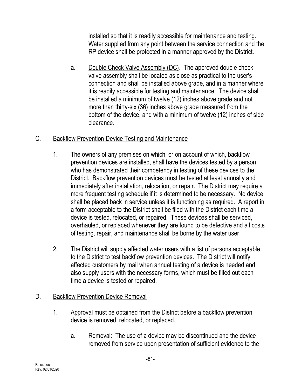installed so that it is readily accessible for maintenance and testing. Water supplied from any point between the service connection and the RP device shall be protected in a manner approved by the District.

a. Double Check Valve Assembly (DC). The approved double check valve assembly shall be located as close as practical to the user's connection and shall be installed above grade, and in a manner where it is readily accessible for testing and maintenance. The device shall be installed a minimum of twelve (12) inches above grade and not more than thirty-six (36) inches above grade measured from the bottom of the device, and with a minimum of twelve (12) inches of side clearance.

## C. Backflow Prevention Device Testing and Maintenance

- 1. The owners of any premises on which, or on account of which, backflow prevention devices are installed, shall have the devices tested by a person who has demonstrated their competency in testing of these devices to the District. Backflow prevention devices must be tested at least annually and immediately after installation, relocation, or repair. The District may require a more frequent testing schedule if it is determined to be necessary. No device shall be placed back in service unless it is functioning as required. A report in a form acceptable to the District shall be filed with the District each time a device is tested, relocated, or repaired. These devices shall be serviced, overhauled, or replaced whenever they are found to be defective and all costs of testing, repair, and maintenance shall be borne by the water user.
- 2. The District will supply affected water users with a list of persons acceptable to the District to test backflow prevention devices. The District will notify affected customers by mail when annual testing of a device is needed and also supply users with the necessary forms, which must be filled out each time a device is tested or repaired.

## D. Backflow Prevention Device Removal

- 1. Approval must be obtained from the District before a backflow prevention device is removed, relocated, or replaced.
	- a. Removal: The use of a device may be discontinued and the device removed from service upon presentation of sufficient evidence to the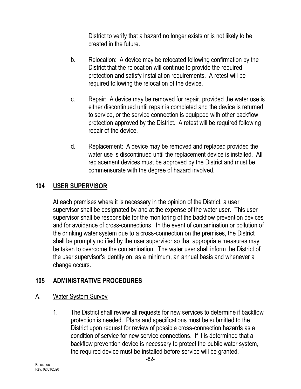District to verify that a hazard no longer exists or is not likely to be created in the future.

- b. Relocation: A device may be relocated following confirmation by the District that the relocation will continue to provide the required protection and satisfy installation requirements. A retest will be required following the relocation of the device.
- c. Repair: A device may be removed for repair, provided the water use is either discontinued until repair is completed and the device is returned to service, or the service connection is equipped with other backflow protection approved by the District. A retest will be required following repair of the device.
- d. Replacement: A device may be removed and replaced provided the water use is discontinued until the replacement device is installed. All replacement devices must be approved by the District and must be commensurate with the degree of hazard involved.

### **104 USER SUPERVISOR**

At each premises where it is necessary in the opinion of the District, a user supervisor shall be designated by and at the expense of the water user. This user supervisor shall be responsible for the monitoring of the backflow prevention devices and for avoidance of cross-connections. In the event of contamination or pollution of the drinking water system due to a cross-connection on the premises, the District shall be promptly notified by the user supervisor so that appropriate measures may be taken to overcome the contamination. The water user shall inform the District of the user supervisor's identity on, as a minimum, an annual basis and whenever a change occurs.

## **105 ADMINISTRATIVE PROCEDURES**

### A. Water System Survey

1. The District shall review all requests for new services to determine if backflow protection is needed. Plans and specifications must be submitted to the District upon request for review of possible cross-connection hazards as a condition of service for new service connections. If it is determined that a backflow prevention device is necessary to protect the public water system, the required device must be installed before service will be granted.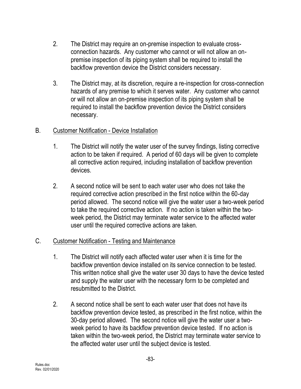- 2. The District may require an on-premise inspection to evaluate crossconnection hazards. Any customer who cannot or will not allow an onpremise inspection of its piping system shall be required to install the backflow prevention device the District considers necessary.
- 3. The District may, at its discretion, require a re-inspection for cross-connection hazards of any premise to which it serves water. Any customer who cannot or will not allow an on-premise inspection of its piping system shall be required to install the backflow prevention device the District considers necessary.

### B. Customer Notification - Device Installation

- 1. The District will notify the water user of the survey findings, listing corrective action to be taken if required. A period of 60 days will be given to complete all corrective action required, including installation of backflow prevention devices.
- 2. A second notice will be sent to each water user who does not take the required corrective action prescribed in the first notice within the 60-day period allowed. The second notice will give the water user a two-week period to take the required corrective action. If no action is taken within the twoweek period, the District may terminate water service to the affected water user until the required corrective actions are taken.

## C. Customer Notification - Testing and Maintenance

- 1. The District will notify each affected water user when it is time for the backflow prevention device installed on its service connection to be tested. This written notice shall give the water user 30 days to have the device tested and supply the water user with the necessary form to be completed and resubmitted to the District.
- 2. A second notice shall be sent to each water user that does not have its backflow prevention device tested, as prescribed in the first notice, within the 30-day period allowed. The second notice will give the water user a twoweek period to have its backflow prevention device tested. If no action is taken within the two-week period, the District may terminate water service to the affected water user until the subject device is tested.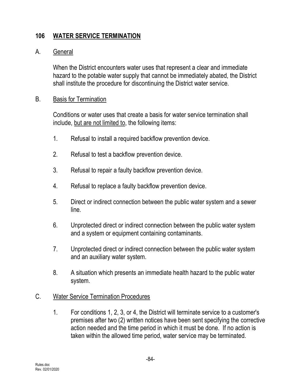## **106 WATER SERVICE TERMINATION**

#### A. General

When the District encounters water uses that represent a clear and immediate hazard to the potable water supply that cannot be immediately abated, the District shall institute the procedure for discontinuing the District water service.

#### B. Basis for Termination

Conditions or water uses that create a basis for water service termination shall include, but are not limited to, the following items:

- 1. Refusal to install a required backflow prevention device.
- 2. Refusal to test a backflow prevention device.
- 3. Refusal to repair a faulty backflow prevention device.
- 4. Refusal to replace a faulty backflow prevention device.
- 5. Direct or indirect connection between the public water system and a sewer line.
- 6. Unprotected direct or indirect connection between the public water system and a system or equipment containing contaminants.
- 7. Unprotected direct or indirect connection between the public water system and an auxiliary water system.
- 8. A situation which presents an immediate health hazard to the public water system.

### C. Water Service Termination Procedures

1. For conditions 1, 2, 3, or 4, the District will terminate service to a customer's premises after two (2) written notices have been sent specifying the corrective action needed and the time period in which it must be done. If no action is taken within the allowed time period, water service may be terminated.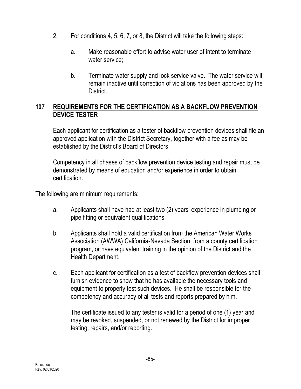- 2. For conditions 4, 5, 6, 7, or 8, the District will take the following steps:
	- a. Make reasonable effort to advise water user of intent to terminate water service;
	- b. Terminate water supply and lock service valve. The water service will remain inactive until correction of violations has been approved by the District.

## **107 REQUIREMENTS FOR THE CERTIFICATION AS A BACKFLOW PREVENTION DEVICE TESTER**

Each applicant for certification as a tester of backflow prevention devices shall file an approved application with the District Secretary, together with a fee as may be established by the District's Board of Directors.

Competency in all phases of backflow prevention device testing and repair must be demonstrated by means of education and/or experience in order to obtain certification.

The following are minimum requirements:

- a. Applicants shall have had at least two (2) years' experience in plumbing or pipe fitting or equivalent qualifications.
- b. Applicants shall hold a valid certification from the American Water Works Association (AWWA) California-Nevada Section, from a county certification program, or have equivalent training in the opinion of the District and the Health Department.
- c. Each applicant for certification as a test of backflow prevention devices shall furnish evidence to show that he has available the necessary tools and equipment to properly test such devices. He shall be responsible for the competency and accuracy of all tests and reports prepared by him.

The certificate issued to any tester is valid for a period of one (1) year and may be revoked, suspended, or not renewed by the District for improper testing, repairs, and/or reporting.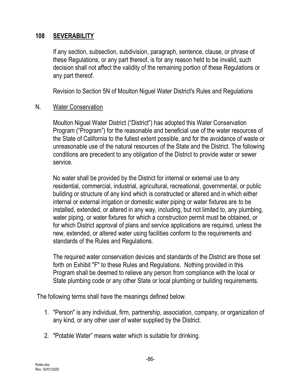### **108 SEVERABILITY**

If any section, subsection, subdivision, paragraph, sentence, clause, or phrase of these Regulations, or any part thereof, is for any reason held to be invalid, such decision shall not affect the validity of the remaining portion of these Regulations or any part thereof.

Revision to Section 5N of Moulton Niguel Water District's Rules and Regulations

#### N. Water Conservation

Moulton Niguel Water District ("District") has adopted this Water Conservation Program ("Program") for the reasonable and beneficial use of the water resources of the State of California to the fullest extent possible, and for the avoidance of waste or unreasonable use of the natural resources of the State and the District. The following conditions are precedent to any obligation of the District to provide water or sewer service.

No water shall be provided by the District for internal or external use to any residential, commercial, industrial, agricultural, recreational, governmental, or public building or structure of any kind which is constructed or altered and in which either internal or external irrigation or domestic water piping or water fixtures are to be installed, extended, or altered in any way, including, but not limited to, any plumbing, water piping, or water fixtures for which a construction permit must be obtained, or for which District approval of plans and service applications are required, unless the new, extended, or altered water using facilities conform to the requirements and standards of the Rules and Regulations.

The required water conservation devices and standards of the District are those set forth on Exhibit "F" to these Rules and Regulations. Nothing provided in this Program shall be deemed to relieve any person from compliance with the local or State plumbing code or any other State or local plumbing or building requirements.

The following terms shall have the meanings defined below.

- 1. "Person" is any individual, firm, partnership, association, company, or organization of any kind, or any other user of water supplied by the District.
- 2. "Potable Water" means water which is suitable for drinking.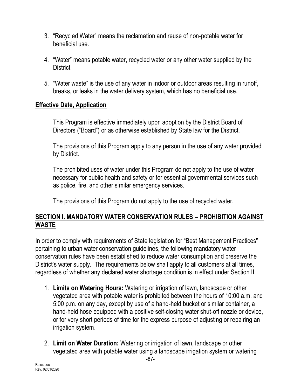- 3. "Recycled Water" means the reclamation and reuse of non-potable water for beneficial use.
- 4. "Water" means potable water, recycled water or any other water supplied by the District.
- 5. "Water waste" is the use of any water in indoor or outdoor areas resulting in runoff, breaks, or leaks in the water delivery system, which has no beneficial use.

### **Effective Date, Application**

This Program is effective immediately upon adoption by the District Board of Directors ("Board") or as otherwise established by State law for the District.

The provisions of this Program apply to any person in the use of any water provided by District.

The prohibited uses of water under this Program do not apply to the use of water necessary for public health and safety or for essential governmental services such as police, fire, and other similar emergency services.

The provisions of this Program do not apply to the use of recycled water.

### **SECTION I. MANDATORY WATER CONSERVATION RULES – PROHIBITION AGAINST WASTE**

In order to comply with requirements of State legislation for "Best Management Practices" pertaining to urban water conservation guidelines, the following mandatory water conservation rules have been established to reduce water consumption and preserve the District's water supply. The requirements below shall apply to all customers at all times, regardless of whether any declared water shortage condition is in effect under Section II.

- 1. **Limits on Watering Hours:** Watering or irrigation of lawn, landscape or other vegetated area with potable water is prohibited between the hours of 10:00 a.m. and 5:00 p.m. on any day, except by use of a hand-held bucket or similar container, a hand-held hose equipped with a positive self-closing water shut-off nozzle or device, or for very short periods of time for the express purpose of adjusting or repairing an irrigation system.
- 2. **Limit on Water Duration:** Watering or irrigation of lawn, landscape or other vegetated area with potable water using a landscape irrigation system or watering

-87-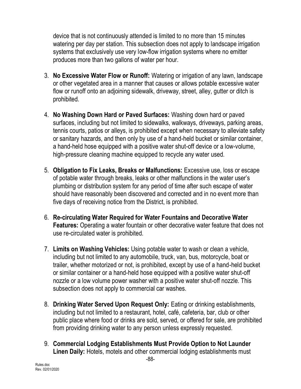device that is not continuously attended is limited to no more than 15 minutes watering per day per station. This subsection does not apply to landscape irrigation systems that exclusively use very low-flow irrigation systems where no emitter produces more than two gallons of water per hour.

- 3. **No Excessive Water Flow or Runoff:** Watering or irrigation of any lawn, landscape or other vegetated area in a manner that causes or allows potable excessive water flow or runoff onto an adjoining sidewalk, driveway, street, alley, gutter or ditch is prohibited.
- 4. **No Washing Down Hard or Paved Surfaces:** Washing down hard or paved surfaces, including but not limited to sidewalks, walkways, driveways, parking areas, tennis courts, patios or alleys, is prohibited except when necessary to alleviate safety or sanitary hazards, and then only by use of a hand-held bucket or similar container, a hand-held hose equipped with a positive water shut-off device or a low-volume, high-pressure cleaning machine equipped to recycle any water used.
- 5. **Obligation to Fix Leaks, Breaks or Malfunctions:** Excessive use, loss or escape of potable water through breaks, leaks or other malfunctions in the water user's plumbing or distribution system for any period of time after such escape of water should have reasonably been discovered and corrected and in no event more than five days of receiving notice from the District, is prohibited.
- 6. **Re-circulating Water Required for Water Fountains and Decorative Water Features:** Operating a water fountain or other decorative water feature that does not use re-circulated water is prohibited.
- 7. **Limits on Washing Vehicles:** Using potable water to wash or clean a vehicle, including but not limited to any automobile, truck, van, bus, motorcycle, boat or trailer, whether motorized or not, is prohibited, except by use of a hand-held bucket or similar container or a hand-held hose equipped with a positive water shut-off nozzle or a low volume power washer with a positive water shut-off nozzle. This subsection does not apply to commercial car washes.
- 8. **Drinking Water Served Upon Request Only:** Eating or drinking establishments, including but not limited to a restaurant, hotel, café, cafeteria, bar, club or other public place where food or drinks are sold, served, or offered for sale, are prohibited from providing drinking water to any person unless expressly requested.
- 9. **Commercial Lodging Establishments Must Provide Option to Not Launder Linen Daily:** Hotels, motels and other commercial lodging establishments must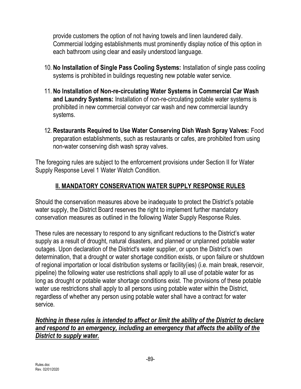provide customers the option of not having towels and linen laundered daily. Commercial lodging establishments must prominently display notice of this option in each bathroom using clear and easily understood language.

- 10. **No Installation of Single Pass Cooling Systems:** Installation of single pass cooling systems is prohibited in buildings requesting new potable water service.
- 11. **No Installation of Non-re-circulating Water Systems in Commercial Car Wash and Laundry Systems:** Installation of non-re-circulating potable water systems is prohibited in new commercial conveyor car wash and new commercial laundry systems.
- 12. **Restaurants Required to Use Water Conserving Dish Wash Spray Valves:** Food preparation establishments, such as restaurants or cafes, are prohibited from using non-water conserving dish wash spray valves.

The foregoing rules are subject to the enforcement provisions under Section II for Water Supply Response Level 1 Water Watch Condition.

# **II. MANDATORY CONSERVATION WATER SUPPLY RESPONSE RULES**

Should the conservation measures above be inadequate to protect the District's potable water supply, the District Board reserves the right to implement further mandatory conservation measures as outlined in the following Water Supply Response Rules.

These rules are necessary to respond to any significant reductions to the District's water supply as a result of drought, natural disasters, and planned or unplanned potable water outages. Upon declaration of the District's water supplier, or upon the District's own determination, that a drought or water shortage condition exists, or upon failure or shutdown of regional importation or local distribution systems or facility(ies) (i.e. main break, reservoir, pipeline) the following water use restrictions shall apply to all use of potable water for as long as drought or potable water shortage conditions exist. The provisions of these potable water use restrictions shall apply to all persons using potable water within the District, regardless of whether any person using potable water shall have a contract for water service.

### *Nothing in these rules is intended to affect or limit the ability of the District to declare and respond to an emergency, including an emergency that affects the ability of the District to supply water.*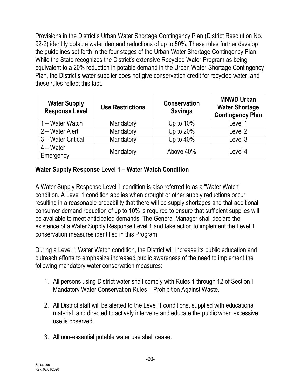Provisions in the District's Urban Water Shortage Contingency Plan (District Resolution No. 92-2) identify potable water demand reductions of up to 50%. These rules further develop the guidelines set forth in the four stages of the Urban Water Shortage Contingency Plan. While the State recognizes the District's extensive Recycled Water Program as being equivalent to a 20% reduction in potable demand in the Urban Water Shortage Contingency Plan, the District's water supplier does not give conservation credit for recycled water, and these rules reflect this fact.

| <b>Water Supply</b><br><b>Response Level</b> | <b>Use Restrictions</b> | <b>Conservation</b><br><b>Savings</b> | <b>MNWD Urban</b><br><b>Water Shortage</b><br><b>Contingency Plan</b> |
|----------------------------------------------|-------------------------|---------------------------------------|-----------------------------------------------------------------------|
| 1 – Water Watch                              | Mandatory               | Up to $10\%$                          | Level 1                                                               |
| 2 – Water Alert                              | Mandatory               | Up to 20%                             | Level 2                                                               |
| 3 - Water Critical                           | Mandatory               | Up to $40%$                           | Level 3                                                               |
| $4 - Water$<br>Emergency                     | Mandatory               | Above 40%                             | Level 4                                                               |

## **Water Supply Response Level 1 – Water Watch Condition**

A Water Supply Response Level 1 condition is also referred to as a "Water Watch" condition. A Level 1 condition applies when drought or other supply reductions occur resulting in a reasonable probability that there will be supply shortages and that additional consumer demand reduction of up to 10% is required to ensure that sufficient supplies will be available to meet anticipated demands. The General Manager shall declare the existence of a Water Supply Response Level 1 and take action to implement the Level 1 conservation measures identified in this Program.

During a Level 1 Water Watch condition, the District will increase its public education and outreach efforts to emphasize increased public awareness of the need to implement the following mandatory water conservation measures:

- 1. All persons using District water shall comply with Rules 1 through 12 of Section I Mandatory Water Conservation Rules – Prohibition Against Waste.
- 2. All District staff will be alerted to the Level 1 conditions, supplied with educational material, and directed to actively intervene and educate the public when excessive use is observed.
- 3. All non-essential potable water use shall cease.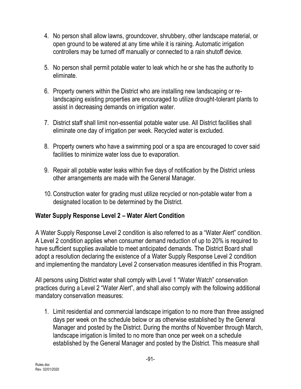- 4. No person shall allow lawns, groundcover, shrubbery, other landscape material, or open ground to be watered at any time while it is raining. Automatic irrigation controllers may be turned off manually or connected to a rain shutoff device.
- 5. No person shall permit potable water to leak which he or she has the authority to eliminate.
- 6. Property owners within the District who are installing new landscaping or relandscaping existing properties are encouraged to utilize drought-tolerant plants to assist in decreasing demands on irrigation water.
- 7. District staff shall limit non-essential potable water use. All District facilities shall eliminate one day of irrigation per week. Recycled water is excluded.
- 8. Property owners who have a swimming pool or a spa are encouraged to cover said facilities to minimize water loss due to evaporation.
- 9. Repair all potable water leaks within five days of notification by the District unless other arrangements are made with the General Manager.
- 10. Construction water for grading must utilize recycled or non-potable water from a designated location to be determined by the District.

## **Water Supply Response Level 2 – Water Alert Condition**

A Water Supply Response Level 2 condition is also referred to as a "Water Alert" condition. A Level 2 condition applies when consumer demand reduction of up to 20% is required to have sufficient supplies available to meet anticipated demands. The District Board shall adopt a resolution declaring the existence of a Water Supply Response Level 2 condition and implementing the mandatory Level 2 conservation measures identified in this Program.

All persons using District water shall comply with Level 1 "Water Watch" conservation practices during a Level 2 "Water Alert", and shall also comply with the following additional mandatory conservation measures:

1. Limit residential and commercial landscape irrigation to no more than three assigned days per week on the schedule below or as otherwise established by the General Manager and posted by the District. During the months of November through March, landscape irrigation is limited to no more than once per week on a schedule established by the General Manager and posted by the District. This measure shall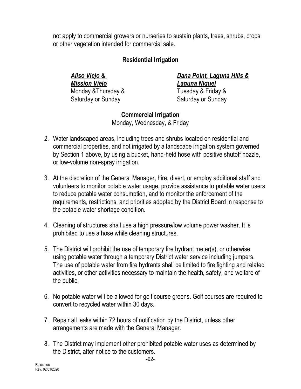not apply to commercial growers or nurseries to sustain plants, trees, shrubs, crops or other vegetation intended for commercial sale.

### **Residential Irrigation**

*Mission Viejo Laguna Niguel* Monday &Thursday & Tuesday & Friday & Saturday or Sunday Saturday or Sunday

*Aliso Viejo & Dana Point, Laguna Hills &*

**Commercial Irrigation** Monday, Wednesday, & Friday

- 2. Water landscaped areas, including trees and shrubs located on residential and commercial properties, and not irrigated by a landscape irrigation system governed by Section 1 above, by using a bucket, hand-held hose with positive shutoff nozzle, or low-volume non-spray irrigation.
- 3. At the discretion of the General Manager, hire, divert, or employ additional staff and volunteers to monitor potable water usage, provide assistance to potable water users to reduce potable water consumption, and to monitor the enforcement of the requirements, restrictions, and priorities adopted by the District Board in response to the potable water shortage condition.
- 4. Cleaning of structures shall use a high pressure/low volume power washer. It is prohibited to use a hose while cleaning structures.
- 5. The District will prohibit the use of temporary fire hydrant meter(s), or otherwise using potable water through a temporary District water service including jumpers. The use of potable water from fire hydrants shall be limited to fire fighting and related activities, or other activities necessary to maintain the health, safety, and welfare of the public.
- 6. No potable water will be allowed for golf course greens. Golf courses are required to convert to recycled water within 30 days.
- 7. Repair all leaks within 72 hours of notification by the District, unless other arrangements are made with the General Manager.
- 8. The District may implement other prohibited potable water uses as determined by the District, after notice to the customers.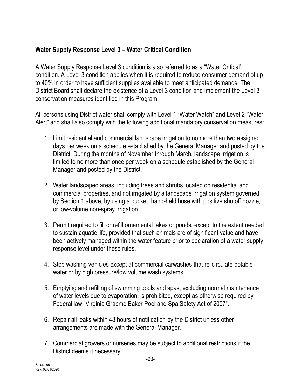## **Water Supply Response Level 3 – Water Critical Condition**

A Water Supply Response Level 3 condition is also referred to as a "Water Critical" condition. A Level 3 condition applies when it is required to reduce consumer demand of up to 40% in order to have sufficient supplies available to meet anticipated demands. The District Board shall declare the existence of a Level 3 condition and implement the Level 3 conservation measures identified in this Program.

All persons using District water shall comply with Level 1 "Water Watch" and Level 2 "Water Alert" and shall also comply with the following additional mandatory conservation measures:

- 1. Limit residential and commercial landscape irrigation to no more than two assigned days per week on a schedule established by the General Manager and posted by the District. During the months of November through March, landscape irrigation is limited to no more than once per week on a schedule established by the General Manager and posted by the District.
- 2. Water landscaped areas, including trees and shrubs located on residential and commercial properties, and not irrigated by a landscape irrigation system governed by Section 1 above, by using a bucket, hand-held hose with positive shutoff nozzle, or low-volume non-spray irrigation.
- 3. Permit required to fill or refill ornamental lakes or ponds, except to the extent needed to sustain aquatic life, provided that such animals are of significant value and have been actively managed within the water feature prior to declaration of a water supply response level under these rules.
- 4. Stop washing vehicles except at commercial carwashes that re-circulate potable water or by high pressure/low volume wash systems.
- 5. Emptying and refilling of swimming pools and spas, excluding normal maintenance of water levels due to evaporation, is prohibited, except as otherwise required by Federal law "Virginia Graeme Baker Pool and Spa Safety Act of 2007".
- 6. Repair all leaks within 48 hours of notification by the District unless other arrangements are made with the General Manager.
- 7. Commercial growers or nurseries may be subject to additional restrictions if the District deems it necessary.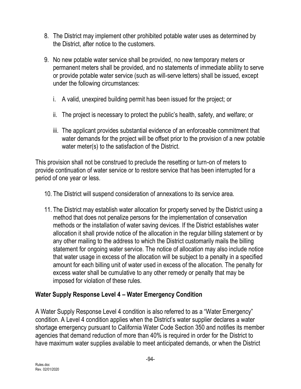- 8. The District may implement other prohibited potable water uses as determined by the District, after notice to the customers.
- 9. No new potable water service shall be provided, no new temporary meters or permanent meters shall be provided, and no statements of immediate ability to serve or provide potable water service (such as will-serve letters) shall be issued, except under the following circumstances:
	- i. A valid, unexpired building permit has been issued for the project; or
	- ii. The project is necessary to protect the public's health, safety, and welfare; or
	- iii. The applicant provides substantial evidence of an enforceable commitment that water demands for the project will be offset prior to the provision of a new potable water meter(s) to the satisfaction of the District.

This provision shall not be construed to preclude the resetting or turn-on of meters to provide continuation of water service or to restore service that has been interrupted for a period of one year or less.

- 10. The District will suspend consideration of annexations to its service area.
- 11. The District may establish water allocation for property served by the District using a method that does not penalize persons for the implementation of conservation methods or the installation of water saving devices. If the District establishes water allocation it shall provide notice of the allocation in the regular billing statement or by any other mailing to the address to which the District customarily mails the billing statement for ongoing water service. The notice of allocation may also include notice that water usage in excess of the allocation will be subject to a penalty in a specified amount for each billing unit of water used in excess of the allocation. The penalty for excess water shall be cumulative to any other remedy or penalty that may be imposed for violation of these rules.

## **Water Supply Response Level 4 – Water Emergency Condition**

A Water Supply Response Level 4 condition is also referred to as a "Water Emergency" condition. A Level 4 condition applies when the District's water supplier declares a water shortage emergency pursuant to California Water Code Section 350 and notifies its member agencies that demand reduction of more than 40% is required in order for the District to have maximum water supplies available to meet anticipated demands, or when the District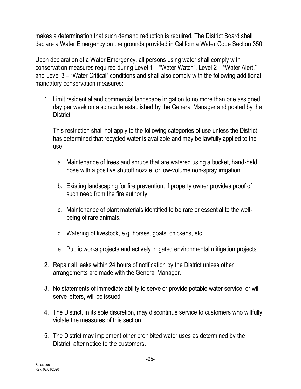makes a determination that such demand reduction is required. The District Board shall declare a Water Emergency on the grounds provided in California Water Code Section 350.

Upon declaration of a Water Emergency, all persons using water shall comply with conservation measures required during Level 1 – "Water Watch", Level 2 – "Water Alert," and Level 3 – "Water Critical" conditions and shall also comply with the following additional mandatory conservation measures:

1. Limit residential and commercial landscape irrigation to no more than one assigned day per week on a schedule established by the General Manager and posted by the District.

This restriction shall not apply to the following categories of use unless the District has determined that recycled water is available and may be lawfully applied to the use:

- a. Maintenance of trees and shrubs that are watered using a bucket, hand-held hose with a positive shutoff nozzle, or low-volume non-spray irrigation.
- b. Existing landscaping for fire prevention, if property owner provides proof of such need from the fire authority.
- c. Maintenance of plant materials identified to be rare or essential to the wellbeing of rare animals.
- d. Watering of livestock, e.g. horses, goats, chickens, etc.
- e. Public works projects and actively irrigated environmental mitigation projects.
- 2. Repair all leaks within 24 hours of notification by the District unless other arrangements are made with the General Manager.
- 3. No statements of immediate ability to serve or provide potable water service, or willserve letters, will be issued.
- 4. The District, in its sole discretion, may discontinue service to customers who willfully violate the measures of this section.
- 5. The District may implement other prohibited water uses as determined by the District, after notice to the customers.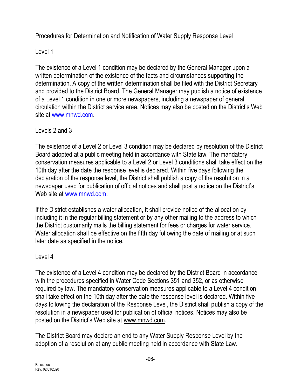Procedures for Determination and Notification of Water Supply Response Level

### Level 1

The existence of a Level 1 condition may be declared by the General Manager upon a written determination of the existence of the facts and circumstances supporting the determination. A copy of the written determination shall be filed with the District Secretary and provided to the District Board. The General Manager may publish a notice of existence of a Level 1 condition in one or more newspapers, including a newspaper of general circulation within the District service area. Notices may also be posted on the District's Web site at [www.mnwd.com.](http://www.mnwd.com/)

## Levels 2 and 3

The existence of a Level 2 or Level 3 condition may be declared by resolution of the District Board adopted at a public meeting held in accordance with State law. The mandatory conservation measures applicable to a Level 2 or Level 3 conditions shall take effect on the 10th day after the date the response level is declared. Within five days following the declaration of the response level, the District shall publish a copy of the resolution in a newspaper used for publication of official notices and shall post a notice on the District's Web site at [www.mnwd.com.](http://www.mnwd.com/)

If the District establishes a water allocation, it shall provide notice of the allocation by including it in the regular billing statement or by any other mailing to the address to which the District customarily mails the billing statement for fees or charges for water service. Water allocation shall be effective on the fifth day following the date of mailing or at such later date as specified in the notice.

## Level 4

The existence of a Level 4 condition may be declared by the District Board in accordance with the procedures specified in Water Code Sections 351 and 352, or as otherwise required by law. The mandatory conservation measures applicable to a Level 4 condition shall take effect on the 10th day after the date the response level is declared. Within five days following the declaration of the Response Level, the District shall publish a copy of the resolution in a newspaper used for publication of official notices. Notices may also be posted on the District's Web site at www.mnwd.com.

The District Board may declare an end to any Water Supply Response Level by the adoption of a resolution at any public meeting held in accordance with State Law.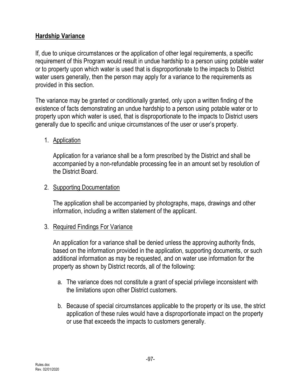## **Hardship Variance**

If, due to unique circumstances or the application of other legal requirements, a specific requirement of this Program would result in undue hardship to a person using potable water or to property upon which water is used that is disproportionate to the impacts to District water users generally, then the person may apply for a variance to the requirements as provided in this section.

The variance may be granted or conditionally granted, only upon a written finding of the existence of facts demonstrating an undue hardship to a person using potable water or to property upon which water is used, that is disproportionate to the impacts to District users generally due to specific and unique circumstances of the user or user's property.

### 1. Application

Application for a variance shall be a form prescribed by the District and shall be accompanied by a non-refundable processing fee in an amount set by resolution of the District Board.

### 2. Supporting Documentation

The application shall be accompanied by photographs, maps, drawings and other information, including a written statement of the applicant.

### 3. Required Findings For Variance

An application for a variance shall be denied unless the approving authority finds, based on the information provided in the application, supporting documents, or such additional information as may be requested, and on water use information for the property as shown by District records, all of the following:

- a. The variance does not constitute a grant of special privilege inconsistent with the limitations upon other District customers.
- b. Because of special circumstances applicable to the property or its use, the strict application of these rules would have a disproportionate impact on the property or use that exceeds the impacts to customers generally.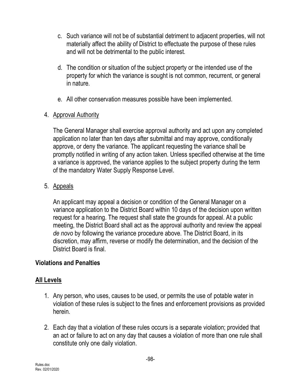- c. Such variance will not be of substantial detriment to adjacent properties, will not materially affect the ability of District to effectuate the purpose of these rules and will not be detrimental to the public interest.
- d. The condition or situation of the subject property or the intended use of the property for which the variance is sought is not common, recurrent, or general in nature.
- e. All other conservation measures possible have been implemented.
- 4. Approval Authority

The General Manager shall exercise approval authority and act upon any completed application no later than ten days after submittal and may approve, conditionally approve, or deny the variance. The applicant requesting the variance shall be promptly notified in writing of any action taken. Unless specified otherwise at the time a variance is approved, the variance applies to the subject property during the term of the mandatory Water Supply Response Level.

5. Appeals

An applicant may appeal a decision or condition of the General Manager on a variance application to the District Board within 10 days of the decision upon written request for a hearing. The request shall state the grounds for appeal. At a public meeting, the District Board shall act as the approval authority and review the appeal *de novo* by following the variance procedure above. The District Board, in its discretion, may affirm, reverse or modify the determination, and the decision of the District Board is final.

## **Violations and Penalties**

## **All Levels**

- 1. Any person, who uses, causes to be used, or permits the use of potable water in violation of these rules is subject to the fines and enforcement provisions as provided herein.
- 2. Each day that a violation of these rules occurs is a separate violation; provided that an act or failure to act on any day that causes a violation of more than one rule shall constitute only one daily violation.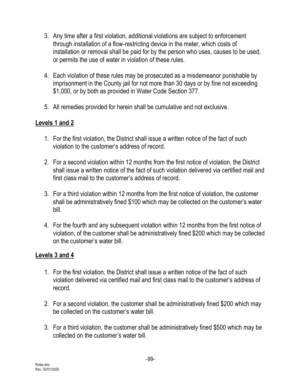- 3. Any time after a first violation, additional violations are subject to enforcement through installation of a flow-restricting device in the meter, which costs of installation or removal shall be paid for by the person who uses, causes to be used, or permits the use of water in violation of these rules.
- 4. Each violation of these rules may be prosecuted as a misdemeanor punishable by imprisonment in the County jail for not more than 30 days or by fine not exceeding \$1,000, or by both as provided in Water Code Section 377.
- 5. All remedies provided for herein shall be cumulative and not exclusive.

### **Levels 1 and 2**

- 1. For the first violation, the District shall issue a written notice of the fact of such violation to the customer's address of record.
- 2. For a second violation within 12 months from the first notice of violation, the District shall issue a written notice of the fact of such violation delivered via certified mail and first class mail to the customer's address of record.
- 3. For a third violation within 12 months from the first notice of violation, the customer shall be administratively fined \$100 which may be collected on the customer's water bill.
- 4. For the fourth and any subsequent violation within 12 months from the first notice of violation, of the customer shall be administratively fined \$200 which may be collected on the customer's water bill.

### **Levels 3 and 4**

- 1. For the first violation, the District shall issue a written notice of the fact of such violation delivered via certified mail and first class mail to the customer's address of record.
- 2. For a second violation, the customer shall be administratively fined \$200 which may be collected on the customer's water bill.
- 3. For a third violation, the customer shall be administratively fined \$500 which may be collected on the customer's water bill.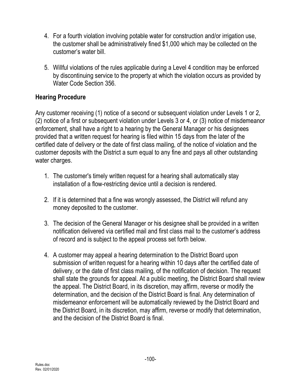- 4. For a fourth violation involving potable water for construction and/or irrigation use, the customer shall be administratively fined \$1,000 which may be collected on the customer's water bill.
- 5. Willful violations of the rules applicable during a Level 4 condition may be enforced by discontinuing service to the property at which the violation occurs as provided by Water Code Section 356.

## **Hearing Procedure**

Any customer receiving (1) notice of a second or subsequent violation under Levels 1 or 2, (2) notice of a first or subsequent violation under Levels 3 or 4, or (3) notice of misdemeanor enforcement, shall have a right to a hearing by the General Manager or his designees provided that a written request for hearing is filed within 15 days from the later of the certified date of delivery or the date of first class mailing, of the notice of violation and the customer deposits with the District a sum equal to any fine and pays all other outstanding water charges.

- 1. The customer's timely written request for a hearing shall automatically stay installation of a flow-restricting device until a decision is rendered.
- 2. If it is determined that a fine was wrongly assessed, the District will refund any money deposited to the customer.
- 3. The decision of the General Manager or his designee shall be provided in a written notification delivered via certified mail and first class mail to the customer's address of record and is subject to the appeal process set forth below.
- 4. A customer may appeal a hearing determination to the District Board upon submission of written request for a hearing within 10 days after the certified date of delivery, or the date of first class mailing, of the notification of decision. The request shall state the grounds for appeal. At a public meeting, the District Board shall review the appeal. The District Board, in its discretion, may affirm, reverse or modify the determination, and the decision of the District Board is final. Any determination of misdemeanor enforcement will be automatically reviewed by the District Board and the District Board, in its discretion, may affirm, reverse or modify that determination, and the decision of the District Board is final.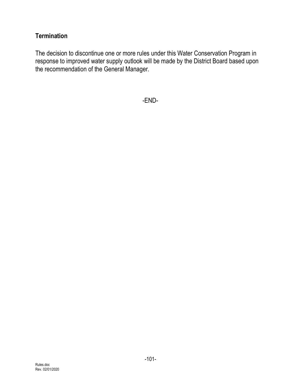## **Termination**

The decision to discontinue one or more rules under this Water Conservation Program in response to improved water supply outlook will be made by the District Board based upon the recommendation of the General Manager.

-END-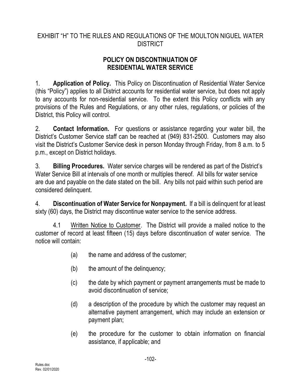## EXHIBIT "H" TO THE RULES AND REGULATIONS OF THE MOULTON NIGUEL WATER **DISTRICT**

## **POLICY ON DISCONTINUATION OF RESIDENTIAL WATER SERVICE**

1. **Application of Policy.** This Policy on Discontinuation of Residential Water Service (this "Policy") applies to all District accounts for residential water service, but does not apply to any accounts for non-residential service. To the extent this Policy conflicts with any provisions of the Rules and Regulations, or any other rules, regulations, or policies of the District, this Policy will control.

2. **Contact Information.** For questions or assistance regarding your water bill, the District's Customer Service staff can be reached at (949) 831-2500. Customers may also visit the District's Customer Service desk in person Monday through Friday, from 8 a.m. to 5 p.m., except on District holidays.

3. **Billing Procedures.** Water service charges will be rendered as part of the District's Water Service Bill at intervals of one month or multiples thereof. All bills for water service are due and payable on the date stated on the bill. Any bills not paid within such period are considered delinquent.

4. **Discontinuation of Water Service for Nonpayment.** If a bill is delinquent for at least sixty (60) days, the District may discontinue water service to the service address.

4.1 Written Notice to Customer. The District will provide a mailed notice to the customer of record at least fifteen (15) days before discontinuation of water service. The notice will contain:

- (a) the name and address of the customer;
- (b) the amount of the delinquency;
- (c) the date by which payment or payment arrangements must be made to avoid discontinuation of service;
- (d) a description of the procedure by which the customer may request an alternative payment arrangement, which may include an extension or payment plan;
- (e) the procedure for the customer to obtain information on financial assistance, if applicable; and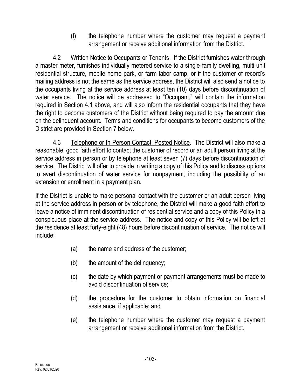(f) the telephone number where the customer may request a payment arrangement or receive additional information from the District.

4.2 Written Notice to Occupants or Tenants. If the District furnishes water through a master meter, furnishes individually metered service to a single-family dwelling, multi-unit residential structure, mobile home park, or farm labor camp, or if the customer of record's mailing address is not the same as the service address, the District will also send a notice to the occupants living at the service address at least ten (10) days before discontinuation of water service. The notice will be addressed to "Occupant," will contain the information required in Section 4.1 above, and will also inform the residential occupants that they have the right to become customers of the District without being required to pay the amount due on the delinquent account. Terms and conditions for occupants to become customers of the District are provided in Section 7 below.

4.3 Telephone or In-Person Contact; Posted Notice. The District will also make a reasonable, good faith effort to contact the customer of record or an adult person living at the service address in person or by telephone at least seven (7) days before discontinuation of service. The District will offer to provide in writing a copy of this Policy and to discuss options to avert discontinuation of water service for nonpayment, including the possibility of an extension or enrollment in a payment plan.

If the District is unable to make personal contact with the customer or an adult person living at the service address in person or by telephone, the District will make a good faith effort to leave a notice of imminent discontinuation of residential service and a copy of this Policy in a conspicuous place at the service address. The notice and copy of this Policy will be left at the residence at least forty-eight (48) hours before discontinuation of service. The notice will include:

- (a) the name and address of the customer;
- (b) the amount of the delinquency;
- (c) the date by which payment or payment arrangements must be made to avoid discontinuation of service;
- (d) the procedure for the customer to obtain information on financial assistance, if applicable; and
- (e) the telephone number where the customer may request a payment arrangement or receive additional information from the District.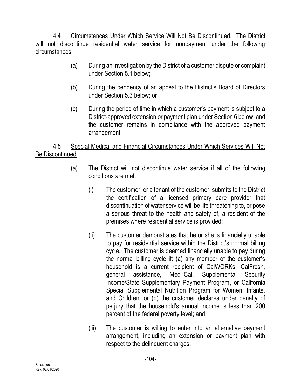4.4 Circumstances Under Which Service Will Not Be Discontinued. The District will not discontinue residential water service for nonpayment under the following circumstances:

- (a) During an investigation by the District of a customer dispute or complaint under Section 5.1 below;
- (b) During the pendency of an appeal to the District's Board of Directors under Section 5.3 below; or
- (c) During the period of time in which a customer's payment is subject to a District-approved extension or payment plan under Section 6 below, and the customer remains in compliance with the approved payment arrangement.

4.5 Special Medical and Financial Circumstances Under Which Services Will Not Be Discontinued.

- (a) The District will not discontinue water service if all of the following conditions are met:
	- (i) The customer, or a tenant of the customer, submits to the District the certification of a licensed primary care provider that discontinuation of water service will be life threatening to, or pose a serious threat to the health and safety of, a resident of the premises where residential service is provided;
	- (ii) The customer demonstrates that he or she is financially unable to pay for residential service within the District's normal billing cycle. The customer is deemed financially unable to pay during the normal billing cycle if: (a) any member of the customer's household is a current recipient of CalWORKs, CalFresh, general assistance, Medi-Cal, Supplemental Security Income/State Supplementary Payment Program, or California Special Supplemental Nutrition Program for Women, Infants, and Children, or (b) the customer declares under penalty of perjury that the household's annual income is less than 200 percent of the federal poverty level; and
	- (iii) The customer is willing to enter into an alternative payment arrangement, including an extension or payment plan with respect to the delinquent charges.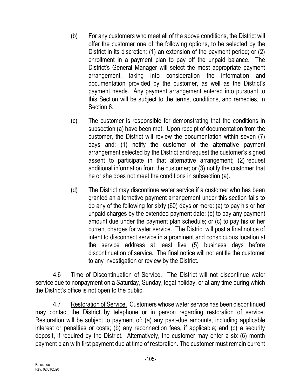- (b) For any customers who meet all of the above conditions, the District will offer the customer one of the following options, to be selected by the District in its discretion: (1) an extension of the payment period; or (2) enrollment in a payment plan to pay off the unpaid balance. The District's General Manager will select the most appropriate payment arrangement, taking into consideration the information and documentation provided by the customer, as well as the District's payment needs. Any payment arrangement entered into pursuant to this Section will be subject to the terms, conditions, and remedies, in Section 6.
- (c) The customer is responsible for demonstrating that the conditions in subsection (a) have been met. Upon receipt of documentation from the customer, the District will review the documentation within seven (7) days and: (1) notify the customer of the alternative payment arrangement selected by the District and request the customer's signed assent to participate in that alternative arrangement; (2) request additional information from the customer; or (3) notify the customer that he or she does not meet the conditions in subsection (a).
- (d) The District may discontinue water service if a customer who has been granted an alternative payment arrangement under this section fails to do any of the following for sixty (60) days or more: (a) to pay his or her unpaid charges by the extended payment date; (b) to pay any payment amount due under the payment plan schedule; or (c) to pay his or her current charges for water service. The District will post a final notice of intent to disconnect service in a prominent and conspicuous location at the service address at least five (5) business days before discontinuation of service. The final notice will not entitle the customer to any investigation or review by the District.

4.6 Time of Discontinuation of Service. The District will not discontinue water service due to nonpayment on a Saturday, Sunday, legal holiday, or at any time during which the District's office is not open to the public.

4.7 Restoration of Service. Customers whose water service has been discontinued may contact the District by telephone or in person regarding restoration of service. Restoration will be subject to payment of: (a) any past-due amounts, including applicable interest or penalties or costs; (b) any reconnection fees, if applicable; and (c) a security deposit, if required by the District. Alternatively, the customer may enter a six (6) month payment plan with first payment due at time of restoration. The customer must remain current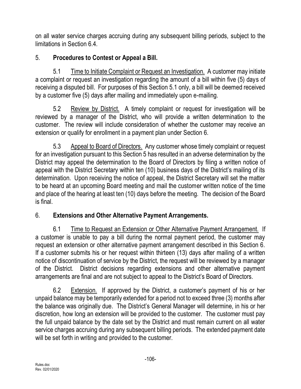on all water service charges accruing during any subsequent billing periods, subject to the limitations in Section 6.4.

# 5. **Procedures to Contest or Appeal a Bill.**

5.1 Time to Initiate Complaint or Request an Investigation. A customer may initiate a complaint or request an investigation regarding the amount of a bill within five (5) days of receiving a disputed bill. For purposes of this Section 5.1 only, a bill will be deemed received by a customer five (5) days after mailing and immediately upon e-mailing.

5.2 Review by District. A timely complaint or request for investigation will be reviewed by a manager of the District, who will provide a written determination to the customer. The review will include consideration of whether the customer may receive an extension or qualify for enrollment in a payment plan under Section 6.

5.3 Appeal to Board of Directors. Any customer whose timely complaint or request for an investigation pursuant to this Section 5 has resulted in an adverse determination by the District may appeal the determination to the Board of Directors by filing a written notice of appeal with the District Secretary within ten (10) business days of the District's mailing of its determination. Upon receiving the notice of appeal, the District Secretary will set the matter to be heard at an upcoming Board meeting and mail the customer written notice of the time and place of the hearing at least ten (10) days before the meeting. The decision of the Board is final.

# 6. **Extensions and Other Alternative Payment Arrangements.**

6.1 Time to Request an Extension or Other Alternative Payment Arrangement. If a customer is unable to pay a bill during the normal payment period, the customer may request an extension or other alternative payment arrangement described in this Section 6. If a customer submits his or her request within thirteen (13) days after mailing of a written notice of discontinuation of service by the District, the request will be reviewed by a manager of the District. District decisions regarding extensions and other alternative payment arrangements are final and are not subject to appeal to the District's Board of Directors.

6.2 Extension. If approved by the District, a customer's payment of his or her unpaid balance may be temporarily extended for a period not to exceed three (3) months after the balance was originally due. The District's General Manager will determine, in his or her discretion, how long an extension will be provided to the customer. The customer must pay the full unpaid balance by the date set by the District and must remain current on all water service charges accruing during any subsequent billing periods. The extended payment date will be set forth in writing and provided to the customer.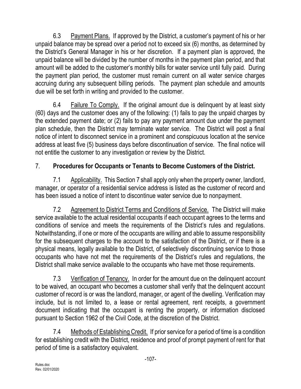6.3 Payment Plans. If approved by the District, a customer's payment of his or her unpaid balance may be spread over a period not to exceed six (6) months, as determined by the District's General Manager in his or her discretion. If a payment plan is approved, the unpaid balance will be divided by the number of months in the payment plan period, and that amount will be added to the customer's monthly bills for water service until fully paid. During the payment plan period, the customer must remain current on all water service charges accruing during any subsequent billing periods. The payment plan schedule and amounts due will be set forth in writing and provided to the customer.

6.4 Failure To Comply.If the original amount due is delinquent by at least sixty (60) days and the customer does any of the following: (1) fails to pay the unpaid charges by the extended payment date; or (2) fails to pay any payment amount due under the payment plan schedule, then the District may terminate water service. The District will post a final notice of intent to disconnect service in a prominent and conspicuous location at the service address at least five (5) business days before discontinuation of service. The final notice will not entitle the customer to any investigation or review by the District.

# 7. **Procedures for Occupants or Tenants to Become Customers of the District.**

7.1 Applicability. This Section 7 shall apply only when the property owner, landlord, manager, or operator of a residential service address is listed as the customer of record and has been issued a notice of intent to discontinue water service due to nonpayment.

7.2 Agreement to District Terms and Conditions of Service. The District will make service available to the actual residential occupants if each occupant agrees to the terms and conditions of service and meets the requirements of the District's rules and regulations. Notwithstanding, if one or more of the occupants are willing and able to assume responsibility for the subsequent charges to the account to the satisfaction of the District, or if there is a physical means, legally available to the District, of selectively discontinuing service to those occupants who have not met the requirements of the District's rules and regulations, the District shall make service available to the occupants who have met those requirements.

7.3 Verification of Tenancy. In order for the amount due on the delinquent account to be waived, an occupant who becomes a customer shall verify that the delinquent account customer of record is or was the landlord, manager, or agent of the dwelling. Verification may include, but is not limited to, a lease or rental agreement, rent receipts, a government document indicating that the occupant is renting the property, or information disclosed pursuant to Section 1962 of the Civil Code, at the discretion of the District.

7.4 Methods of Establishing Credit. If prior service for a period of time is a condition for establishing credit with the District, residence and proof of prompt payment of rent for that period of time is a satisfactory equivalent.